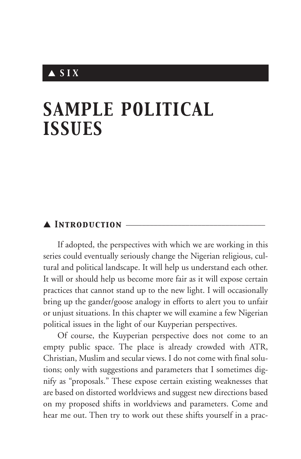# ▲ *S I X*

# *SAMPLE POLITICAL ISSUES*

## ▲ *Introduction* \_\_\_\_\_\_\_\_\_\_\_\_\_\_\_\_\_\_\_\_\_\_\_\_\_\_\_\_\_\_\_\_\_\_\_

If adopted, the perspectives with which we are working in this series could eventually seriously change the Nigerian religious, cultural and political landscape. It will help us understand each other. It will or should help us become more fair as it will expose certain practices that cannot stand up to the new light. I will occasionally bring up the gander/goose analogy in efforts to alert you to unfair or unjust situations. In this chapter we will examine a few Nigerian political issues in the light of our Kuyperian perspectives.

Of course, the Kuyperian perspective does not come to an empty public space. The place is already crowded with ATR, Christian, Muslim and secular views. I do not come with final solutions; only with suggestions and parameters that I sometimes dignify as "proposals." These expose certain existing weaknesses that are based on distorted worldviews and suggest new directions based on my proposed shifts in worldviews and parameters. Come and hear me out. Then try to work out these shifts yourself in a prac-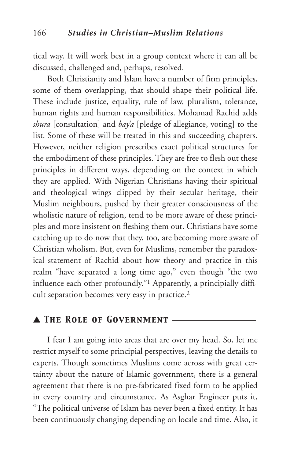tical way. It will work best in a group context where it can all be discussed, challenged and, perhaps, resolved.

Both Christianity and Islam have a number of firm principles, some of them overlapping, that should shape their political life. These include justice, equality, rule of law, pluralism, tolerance, human rights and human responsibilities. Mohamad Rachid adds *shura* [consultation] and *bay'a* [pledge of allegiance, voting] to the list. Some of these will be treated in this and succeeding chapters. However, neither religion prescribes exact political structures for the embodiment of these principles. They are free to flesh out these principles in different ways, depending on the context in which they are applied. With Nigerian Christians having their spiritual and theological wings clipped by their secular heritage, their Muslim neighbours, pushed by their greater consciousness of the wholistic nature of religion, tend to be more aware of these principles and more insistent on fleshing them out. Christians have some catching up to do now that they, too, are becoming more aware of Christian wholism. But, even for Muslims, remember the paradoxical statement of Rachid about how theory and practice in this realm "have separated a long time ago," even though "the two influence each other profoundly."1 Apparently, a principially difficult separation becomes very easy in practice.2

## ▲ *The Role of Government* \_\_\_\_\_\_\_\_\_\_\_\_\_\_\_\_\_\_\_\_\_

I fear I am going into areas that are over my head. So, let me restrict myself to some principial perspectives, leaving the details to experts. Though sometimes Muslims come across with great certainty about the nature of Islamic government, there is a general agreement that there is no pre-fabricated fixed form to be applied in every country and circumstance. As Asghar Engineer puts it, "The political universe of Islam has never been a fixed entity. It has been continuously changing depending on locale and time. Also, it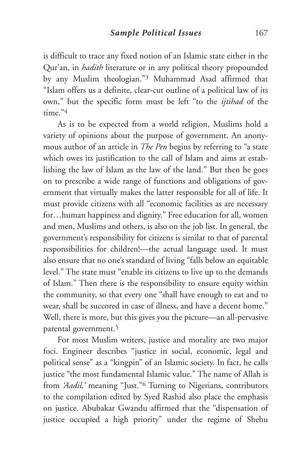is difficult to trace any fixed notion of an Islamic state either in the Qur'an, in *hadith* literature or in any political theory propounded by any Muslim theologian."3 Muhammad Asad affirmed that "Islam offers us a definite, clear-cut outline of a political law of its own," but the specific form must be left "to the *ijtihad* of the time<sup>"4</sup>

As is to be expected from a world religion, Muslims hold a variety of opinions about the purpose of government. An anonymous author of an article in *The Pen* begins by referring to "a state which owes its justification to the call of Islam and aims at establishing the law of Islam as the law of the land." But then he goes on to prescribe a wide range of functions and obligations of government that virtually makes the latter responsible for all of life. It must provide citizens with all "economic facilities as are necessary for…human happiness and dignity." Free education for all, women and men, Muslims and others, is also on the job list. In general, the government's responsibility for citizens is similar to that of parental responsibilities for children!—the actual language used. It must also ensure that no one's standard of living "falls below an equitable level." The state must "enable its citizens to live up to the demands of Islam." Then there is the responsibility to ensure equity within the community, so that every one "shall have enough to eat and to wear, shall be succored in case of illness, and have a decent home." Well, there is more, but this gives you the picture—an all-pervasive parental government.5

For most Muslim writers, justice and morality are two major foci. Engineer describes "justice in social, economic, legal and political sense" as a "kingpin" of an Islamic society. In fact, he calls justice "the most fundamental Islamic value." The name of Allah is from *'Aadil,'* meaning "Just."6 Turning to Nigerians, contributors to the compilation edited by Syed Rashid also place the emphasis on justice. Abubakar Gwandu affirmed that the "dispensation of justice occupied a high priority" under the regime of Shehu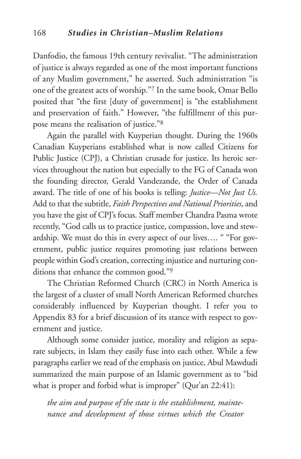Danfodio, the famous 19th century revivalist. "The administration of justice is always regarded as one of the most important functions of any Muslim government," he asserted. Such administration "is one of the greatest acts of worship."7 In the same book, Omar Bello posited that "the first [duty of government] is "the establishment and preservation of faith." However, "the fulfillment of this purpose means the realisation of justice."8

Again the parallel with Kuyperian thought. During the 1960s Canadian Kuyperians established what is now called Citizens for Public Justice (CPJ), a Christian crusade for justice. Its heroic services throughout the nation but especially to the FG of Canada won the founding director, Gerald Vandezande, the Order of Canada award. The title of one of his books is telling: *Justice—Not Just Us.* Add to that the subtitle, *Faith Perspectives and National Priorities*, and you have the gist of CPJ's focus. Staff member Chandra Pasma wrote recently, "God calls us to practice justice, compassion, love and stewardship. We must do this in every aspect of our lives…. " "For government, public justice requires promoting just relations between people within God's creation, correcting injustice and nurturing conditions that enhance the common good."9

The Christian Reformed Church (CRC) in North America is the largest of a cluster of small North American Reformed churches considerably influenced by Kuyperian thought. I refer you to Appendix 83 for a brief discussion of its stance with respect to government and justice.

Although some consider justice, morality and religion as separate subjects, in Islam they easily fuse into each other. While a few paragraphs earlier we read of the emphasis on justice, Abul Mawdudi summarized the main purpose of an Islamic government as to "bid what is proper and forbid what is improper" (Qur'an 22:41):

*the aim and purpose of the state is the establishment, maintenance and development of those virtues which the Creator*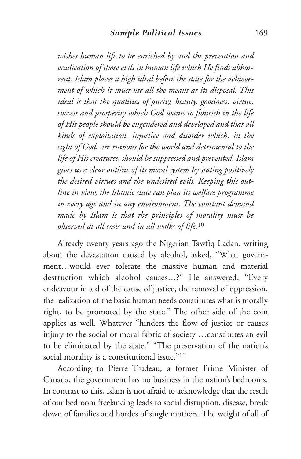*wishes human life to be enriched by and the prevention and eradication of those evils in human life which He finds abhorrent. Islam places a high ideal before the state for the achievement of which it must use all the means at its disposal. This ideal is that the qualities of purity, beauty, goodness, virtue, success and prosperity which God wants to flourish in the life of His people should be engendered and developed and that all kinds of exploitation, injustice and disorder which, in the sight of God, are ruinous for the world and detrimental to the life of His creatures, should be suppressed and prevented. Islam gives us a clear outline of its moral system by stating positively the desired virtues and the undesired evils. Keeping this outline in view, the Islamic state can plan its welfare programme in every age and in any environment. The constant demand made by Islam is that the principles of morality must be observed at all costs and in all walks of life.*<sup>10</sup>

Already twenty years ago the Nigerian Tawfiq Ladan, writing about the devastation caused by alcohol, asked, "What government…would ever tolerate the massive human and material destruction which alcohol causes…?" He answered, "Every endeavour in aid of the cause of justice, the removal of oppression, the realization of the basic human needs constitutes what is morally right, to be promoted by the state." The other side of the coin applies as well. Whatever "hinders the flow of justice or causes injury to the social or moral fabric of society …constitutes an evil to be eliminated by the state." "The preservation of the nation's social morality is a constitutional issue."<sup>11</sup>

According to Pierre Trudeau, a former Prime Minister of Canada, the government has no business in the nation's bedrooms. In contrast to this, Islam is not afraid to acknowledge that the result of our bedroom freelancing leads to social disruption, disease, break down of families and hordes of single mothers. The weight of all of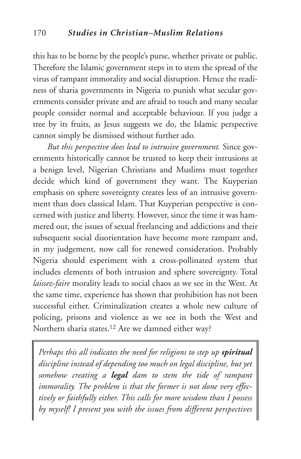this has to be borne by the people's purse, whether private or public. Therefore the Islamic government steps in to stem the spread of the virus of rampant immorality and social disruption. Hence the readiness of sharia governments in Nigeria to punish what secular governments consider private and are afraid to touch and many secular people consider normal and acceptable behaviour. If you judge a tree by its fruits, as Jesus suggests we do, the Islamic perspective cannot simply be dismissed without further ado.

*But this perspective does lead to intrusive government.* Since governments historically cannot be trusted to keep their intrusions at a benign level, Nigerian Christians and Muslims must together decide which kind of government they want. The Kuyperian emphasis on sphere sovereignty creates less of an intrusive government than does classical Islam. That Kuyperian perspective is concerned with justice and liberty. However, since the time it was hammered out, the issues of sexual freelancing and addictions and their subsequent social disorientation have become more rampant and, in my judgement, now call for renewed consideration. Probably Nigeria should experiment with a cross-pollinated system that includes elements of both intrusion and sphere sovereignty. Total *laissez-faire* morality leads to social chaos as we see in the West. At the same time, experience has shown that prohibition has not been successful either. Criminalization creates a whole new culture of policing, prisons and violence as we see in both the West and Northern sharia states.12 Are we damned either way?

*Perhaps this all indicates the need for religions to step up spiritual discipline instead of depending too much on legal discipline, but yet somehow creating a legal dam to stem the tide of rampant immorality. The problem is that the former is not done very effectively or faithfully either. This calls for more wisdom than I possess by myself! I present you with the issues from different perspectives*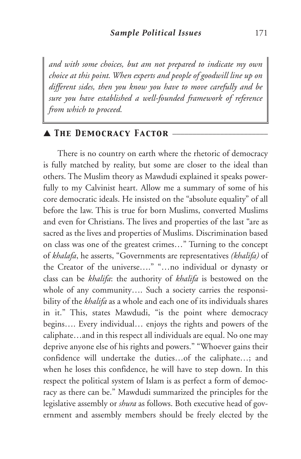*and with some choices, but am not prepared to indicate my own choice at this point. When experts and people of goodwill line up on different sides, then you know you have to move carefully and be sure you have established a well-founded framework of reference from which to proceed.*

## ▲ *The Democracy Factor* \_\_\_\_\_\_\_\_\_\_\_\_\_\_\_\_\_\_\_\_\_\_\_\_

There is no country on earth where the rhetoric of democracy is fully matched by reality, but some are closer to the ideal than others. The Muslim theory as Mawdudi explained it speaks powerfully to my Calvinist heart. Allow me a summary of some of his core democratic ideals. He insisted on the "absolute equality" of all before the law. This is true for born Muslims, converted Muslims and even for Christians. The lives and properties of the last "are as sacred as the lives and properties of Muslims. Discrimination based on class was one of the greatest crimes…" Turning to the concept of *khalafa*, he asserts, "Governments are representatives *(khalifa)* of the Creator of the universe…." "…no individual or dynasty or class can be *khalifa*: the authority of *khalifa* is bestowed on the whole of any community…. Such a society carries the responsibility of the *khalifa* as a whole and each one of its individuals shares in it." This, states Mawdudi, "is the point where democracy begins…. Every individual… enjoys the rights and powers of the caliphate…and in this respect all individuals are equal. No one may deprive anyone else of his rights and powers." "Whoever gains their confidence will undertake the duties…of the caliphate…; and when he loses this confidence, he will have to step down. In this respect the political system of Islam is as perfect a form of democracy as there can be." Mawdudi summarized the principles for the legislative assembly or *shura* as follows. Both executive head of government and assembly members should be freely elected by the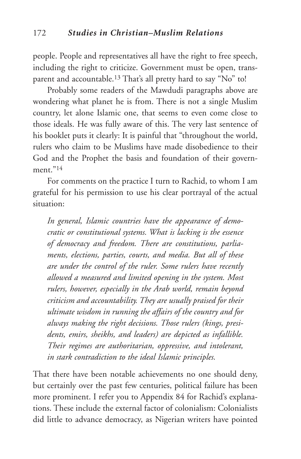people. People and representatives all have the right to free speech, including the right to criticize. Government must be open, transparent and accountable.13 That's all pretty hard to say "No" to!

Probably some readers of the Mawdudi paragraphs above are wondering what planet he is from. There is not a single Muslim country, let alone Islamic one, that seems to even come close to those ideals. He was fully aware of this. The very last sentence of his booklet puts it clearly: It is painful that "throughout the world, rulers who claim to be Muslims have made disobedience to their God and the Prophet the basis and foundation of their government $^{\prime\prime}$ <sup>14</sup>

For comments on the practice I turn to Rachid, to whom I am grateful for his permission to use his clear portrayal of the actual situation:

*In general, Islamic countries have the appearance of democratic or constitutional systems. What is lacking is the essence of democracy and freedom. There are constitutions, parliaments, elections, parties, courts, and media. But all of these are under the control of the ruler. Some rulers have recently allowed a measured and limited opening in the system. Most rulers, however, especially in the Arab world, remain beyond criticism and accountability. They are usually praised for their ultimate wisdom in running the affairs of the country and for always making the right decisions. Those rulers (kings, presidents, emirs, sheikhs, and leaders) are depicted as infallible. Their regimes are authoritarian, oppressive, and intolerant, in stark contradiction to the ideal Islamic principles.*

That there have been notable achievements no one should deny, but certainly over the past few centuries, political failure has been more prominent. I refer you to Appendix 84 for Rachid's explanations. These include the external factor of colonialism: Colonialists did little to advance democracy, as Nigerian writers have pointed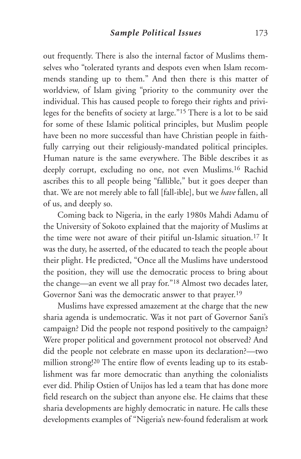out frequently. There is also the internal factor of Muslims themselves who "tolerated tyrants and despots even when Islam recommends standing up to them." And then there is this matter of worldview, of Islam giving "priority to the community over the individual. This has caused people to forego their rights and privileges for the benefits of society at large."15 There is a lot to be said for some of these Islamic political principles, but Muslim people have been no more successful than have Christian people in faithfully carrying out their religiously-mandated political principles. Human nature is the same everywhere. The Bible describes it as deeply corrupt, excluding no one, not even Muslims.16 Rachid ascribes this to all people being "fallible," but it goes deeper than that. We are not merely able to fall [fall-ible], but we *have* fallen, all of us, and deeply so.

Coming back to Nigeria, in the early 1980s Mahdi Adamu of the University of Sokoto explained that the majority of Muslims at the time were not aware of their pitiful un-Islamic situation.17 It was the duty, he asserted, of the educated to teach the people about their plight. He predicted, "Once all the Muslims have understood the position, they will use the democratic process to bring about the change—an event we all pray for."18 Almost two decades later, Governor Sani was the democratic answer to that prayer.19

Muslims have expressed amazement at the charge that the new sharia agenda is undemocratic. Was it not part of Governor Sani's campaign? Did the people not respond positively to the campaign? Were proper political and government protocol not observed? And did the people not celebrate en masse upon its declaration?—two million strong! <sup>20</sup> The entire flow of events leading up to its establishment was far more democratic than anything the colonialists ever did. Philip Ostien of Unijos has led a team that has done more field research on the subject than anyone else. He claims that these sharia developments are highly democratic in nature. He calls these developments examples of "Nigeria's new-found federalism at work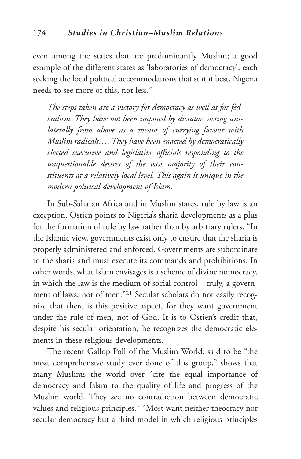even among the states that are predominantly Muslim; a good example of the different states as 'laboratories of democracy', each seeking the local political accommodations that suit it best. Nigeria needs to see more of this, not less."

*The steps taken are a victory for democracy as well as for federalism. They have not been imposed by dictators acting unilaterally from above as a means of currying favour with Muslim radicals…. They have been enacted by democratically elected executive and legislative officials responding to the unquestionable desires of the vast majority of their constituents at a relatively local level. This again is unique in the modern political development of Islam.*

In Sub-Saharan Africa and in Muslim states, rule by law is an exception. Ostien points to Nigeria's sharia developments as a plus for the formation of rule by law rather than by arbitrary rulers. "In the Islamic view, governments exist only to ensure that the sharia is properly administered and enforced. Governments are subordinate to the sharia and must execute its commands and prohibitions. In other words, what Islam envisages is a scheme of divine nomocracy, in which the law is the medium of social control—truly, a government of laws, not of men."21 Secular scholars do not easily recognize that there is this positive aspect, for they want government under the rule of men, not of God. It is to Ostien's credit that, despite his secular orientation, he recognizes the democratic elements in these religious developments.

The recent Gallop Poll of the Muslim World, said to be "the most comprehensive study ever done of this group," shows that many Muslims the world over "cite the equal importance of democracy and Islam to the quality of life and progress of the Muslim world. They see no contradiction between democratic values and religious principles." "Most want neither theocracy nor secular democracy but a third model in which religious principles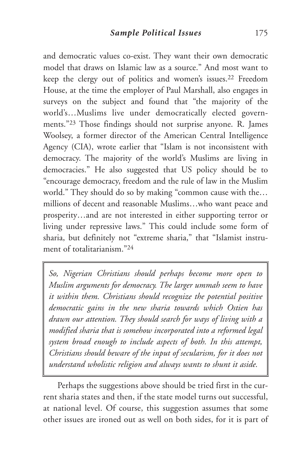and democratic values co-exist. They want their own democratic model that draws on Islamic law as a source." And most want to keep the clergy out of politics and women's issues.22 Freedom House, at the time the employer of Paul Marshall, also engages in surveys on the subject and found that "the majority of the world's…Muslims live under democratically elected governments."23 Those findings should not surprise anyone. R. James Woolsey, a former director of the American Central Intelligence Agency (CIA), wrote earlier that "Islam is not inconsistent with democracy. The majority of the world's Muslims are living in democracies." He also suggested that US policy should be to "encourage democracy, freedom and the rule of law in the Muslim world." They should do so by making "common cause with the… millions of decent and reasonable Muslims…who want peace and prosperity…and are not interested in either supporting terror or living under repressive laws." This could include some form of sharia, but definitely not "extreme sharia," that "Islamist instrument of totalitarianism."24

*So, Nigerian Christians should perhaps become more open to Muslim arguments for democracy. The larger ummah seem to have it within them. Christians should recognize the potential positive democratic gains in the new sharia towards which Ostien has drawn our attention. They should search for ways of living with a modified sharia that is somehow incorporated into a reformed legal system broad enough to include aspects of both. In this attempt, Christians should beware of the input of secularism, for it does not understand wholistic religion and always wants to shunt it aside.*

Perhaps the suggestions above should be tried first in the current sharia states and then, if the state model turns out successful, at national level. Of course, this suggestion assumes that some other issues are ironed out as well on both sides, for it is part of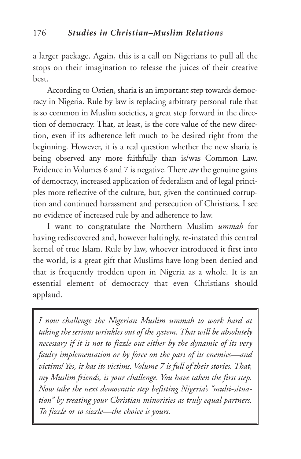a larger package. Again, this is a call on Nigerians to pull all the stops on their imagination to release the juices of their creative best.

According to Ostien, sharia is an important step towards democracy in Nigeria. Rule by law is replacing arbitrary personal rule that is so common in Muslim societies, a great step forward in the direction of democracy. That, at least, is the core value of the new direction, even if its adherence left much to be desired right from the beginning. However, it is a real question whether the new sharia is being observed any more faithfully than is/was Common Law. Evidence in Volumes 6 and 7 is negative. There *are* the genuine gains of democracy, increased application of federalism and of legal principles more reflective of the culture, but, given the continued corruption and continued harassment and persecution of Christians, I see no evidence of increased rule by and adherence to law.

I want to congratulate the Northern Muslim *ummah* for having rediscovered and, however haltingly, re-instated this central kernel of true Islam. Rule by law, whoever introduced it first into the world, is a great gift that Muslims have long been denied and that is frequently trodden upon in Nigeria as a whole. It is an essential element of democracy that even Christians should applaud.

*I now challenge the Nigerian Muslim ummah to work hard at taking the serious wrinkles out of the system. That will be absolutely necessary if it is not to fizzle out either by the dynamic of its very faulty implementation or by force on the part of its enemies—and victims! Yes, it has its victims. Volume 7 is full of their stories. That, my Muslim friends, is your challenge. You have taken the first step. Now take the next democratic step befitting Nigeria's "multi-situation" by treating your Christian minorities as truly equal partners. To fizzle or to sizzle—the choice is yours.*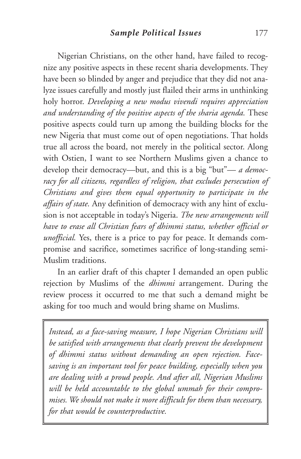Nigerian Christians, on the other hand, have failed to recognize any positive aspects in these recent sharia developments. They have been so blinded by anger and prejudice that they did not analyze issues carefully and mostly just flailed their arms in unthinking holy horror. *Developing a new modus vivendi requires appreciation and understanding of the positive aspects of the sharia agenda.* These positive aspects could turn up among the building blocks for the new Nigeria that must come out of open negotiations. That holds true all across the board, not merely in the political sector. Along with Ostien, I want to see Northern Muslims given a chance to develop their democracy—but, and this is a big "but"— *a democracy for all citizens, regardless of religion, that excludes persecution of Christians and gives them equal opportunity to participate in the affairs of state.* Any definition of democracy with any hint of exclusion is not acceptable in today's Nigeria. *The new arrangements will have to erase all Christian fears of dhimmi status, whether official or unofficial.* Yes, there is a price to pay for peace. It demands compromise and sacrifice, sometimes sacrifice of long-standing semi-Muslim traditions.

In an earlier draft of this chapter I demanded an open public rejection by Muslims of the *dhimmi* arrangement. During the review process it occurred to me that such a demand might be asking for too much and would bring shame on Muslims.

*Instead, as a face-saving measure, I hope Nigerian Christians will be satisfied with arrangements that clearly prevent the development of dhimmi status without demanding an open rejection. Facesaving is an important tool for peace building, especially when you are dealing with a proud people. And after all, Nigerian Muslims will be held accountable to the global ummah for their compromises. We should not make it more difficult for them than necessary, for that would be counterproductive.*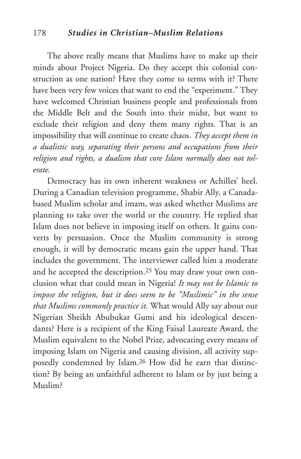#### 178 *Studies in Christian–Muslim Relations*

The above really means that Muslims have to make up their minds about Project Nigeria. Do they accept this colonial construction as one nation? Have they come to terms with it? There have been very few voices that want to end the "experiment." They have welcomed Christian business people and professionals from the Middle Belt and the South into their midst, but want to exclude their religion and deny them many rights. That is an impossibility that will continue to create chaos. *They accept them in a dualistic way, separating their persons and occupations from their religion and rights, a dualism that core Islam normally does not tolerate.*

Democracy has its own inherent weakness or Achilles' heel. During a Canadian television programme, Shabir Ally, a Canadabased Muslim scholar and imam, was asked whether Muslims are planning to take over the world or the country. He replied that Islam does not believe in imposing itself on others. It gains converts by persuasion. Once the Muslim community is strong enough, it will by democratic means gain the upper hand. That includes the government. The interviewer called him a moderate and he accepted the description.<sup>25</sup> You may draw your own conclusion what that could mean in Nigeria! *It may not be Islamic to impose the religion, but it does seem to be "Muslimic" in the sense that Muslims commonly practice it.* What would Ally say about our Nigerian Sheikh Abubukar Gumi and his ideological descendants? Here is a recipient of the King Faisal Laureate Award, the Muslim equivalent to the Nobel Prize, advocating every means of imposing Islam on Nigeria and causing division, all activity supposedly condemned by Islam.26 How did he earn that distinction? By being an unfaithful adherent to Islam or by just being a Muslim?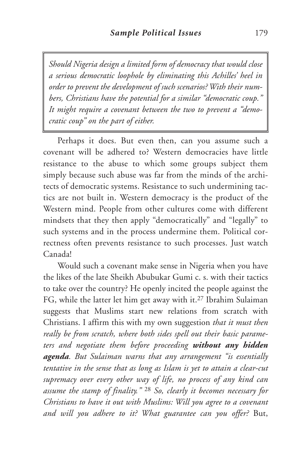*Should Nigeria design a limited form of democracy that would close a serious democratic loophole by eliminating this Achilles' heel in order to prevent the development of such scenarios? With their numbers, Christians have the potential for a similar "democratic coup." It might require a covenant between the two to prevent a "democratic coup" on the part of either.*

Perhaps it does. But even then, can you assume such a covenant will be adhered to? Western democracies have little resistance to the abuse to which some groups subject them simply because such abuse was far from the minds of the architects of democratic systems. Resistance to such undermining tactics are not built in. Western democracy is the product of the Western mind. People from other cultures come with different mindsets that they then apply "democratically" and "legally" to such systems and in the process undermine them. Political correctness often prevents resistance to such processes. Just watch Canada!

Would such a covenant make sense in Nigeria when you have the likes of the late Sheikh Abubukar Gumi c. s. with their tactics to take over the country? He openly incited the people against the FG, while the latter let him get away with it.27 Ibrahim Sulaiman suggests that Muslims start new relations from scratch with Christians. I affirm this with my own suggestion *that it must then really be from scratch, where both sides spell out their basic parameters and negotiate them before proceeding without any hidden agenda. But Sulaiman warns that any arrangement "is essentially tentative in the sense that as long as Islam is yet to attain a clear-cut supremacy over every other way of life, no process of any kind can assume the stamp of finality."* <sup>28</sup> *So, clearly it becomes necessary for Christians to have it out with Muslims: Will you agree to a covenant and will you adhere to it? What guarantee can you offer?* But,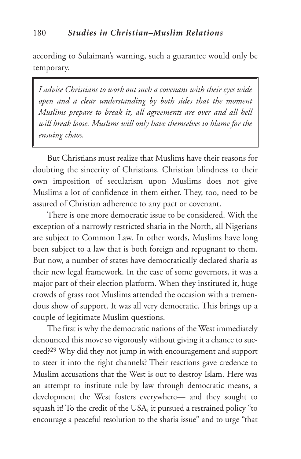according to Sulaiman's warning, such a guarantee would only be temporary.

*I advise Christians to work out such a covenant with their eyes wide open and a clear understanding by both sides that the moment Muslims prepare to break it, all agreements are over and all hell will break loose. Muslims will only have themselves to blame for the ensuing chaos.*

But Christians must realize that Muslims have their reasons for doubting the sincerity of Christians. Christian blindness to their own imposition of secularism upon Muslims does not give Muslims a lot of confidence in them either. They, too, need to be assured of Christian adherence to any pact or covenant.

There is one more democratic issue to be considered. With the exception of a narrowly restricted sharia in the North, all Nigerians are subject to Common Law. In other words, Muslims have long been subject to a law that is both foreign and repugnant to them. But now, a number of states have democratically declared sharia as their new legal framework. In the case of some governors, it was a major part of their election platform. When they instituted it, huge crowds of grass root Muslims attended the occasion with a tremendous show of support. It was all very democratic. This brings up a couple of legitimate Muslim questions.

The first is why the democratic nations of the West immediately denounced this move so vigorously without giving it a chance to succeed?29 Why did they not jump in with encouragement and support to steer it into the right channels? Their reactions gave credence to Muslim accusations that the West is out to destroy Islam. Here was an attempt to institute rule by law through democratic means, a development the West fosters everywhere— and they sought to squash it! To the credit of the USA, it pursued a restrained policy "to encourage a peaceful resolution to the sharia issue" and to urge "that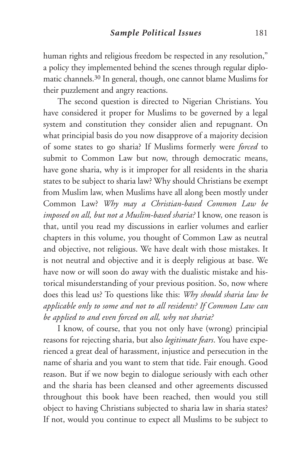human rights and religious freedom be respected in any resolution," a policy they implemented behind the scenes through regular diplomatic channels.30 In general, though, one cannot blame Muslims for their puzzlement and angry reactions.

The second question is directed to Nigerian Christians. You have considered it proper for Muslims to be governed by a legal system and constitution they consider alien and repugnant. On what principial basis do you now disapprove of a majority decision of some states to go sharia? If Muslims formerly were *forced* to submit to Common Law but now, through democratic means, have gone sharia, why is it improper for all residents in the sharia states to be subject to sharia law? Why should Christians be exempt from Muslim law, when Muslims have all along been mostly under Common Law? *Why may a Christian-based Common Law be imposed on all, but not a Muslim-based sharia?* I know, one reason is that, until you read my discussions in earlier volumes and earlier chapters in this volume, you thought of Common Law as neutral and objective, not religious. We have dealt with those mistakes. It is not neutral and objective and it is deeply religious at base. We have now or will soon do away with the dualistic mistake and historical misunderstanding of your previous position. So, now where does this lead us? To questions like this: *Why should sharia law be applicable only to some and not to all residents? If Common Law can be applied to and even forced on all, why not sharia?*

I know, of course, that you not only have (wrong) principial reasons for rejecting sharia, but also *legitimate fears*. You have experienced a great deal of harassment, injustice and persecution in the name of sharia and you want to stem that tide. Fair enough. Good reason. But if we now begin to dialogue seriously with each other and the sharia has been cleansed and other agreements discussed throughout this book have been reached, then would you still object to having Christians subjected to sharia law in sharia states? If not, would you continue to expect all Muslims to be subject to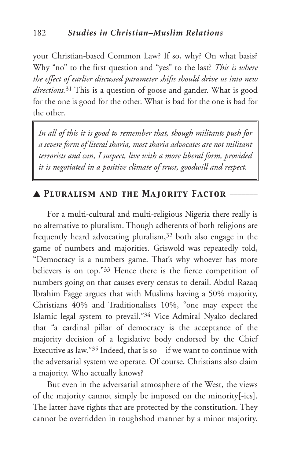your Christian-based Common Law? If so, why? On what basis? Why "no" to the first question and "yes" to the last? *This is where the effect of earlier discussed parameter shifts should drive us into new directions.*<sup>31</sup> This is a question of goose and gander. What is good for the one is good for the other. What is bad for the one is bad for the other.

*In all of this it is good to remember that, though militants push for a severe form of literal sharia, most sharia advocates are not militant terrorists and can, I suspect, live with a more liberal form, provided it is negotiated in a positive climate of trust, goodwill and respect.*

## ▲ *Pluralism and the Majority Factor* \_\_\_\_\_\_\_

For a multi-cultural and multi-religious Nigeria there really is no alternative to pluralism. Though adherents of both religions are frequently heard advocating pluralism,32 both also engage in the game of numbers and majorities. Griswold was repeatedly told, "Democracy is a numbers game. That's why whoever has more believers is on top."33 Hence there is the fierce competition of numbers going on that causes every census to derail. Abdul-Razaq Ibrahim Fagge argues that with Muslims having a 50% majority, Christians 40% and Traditionalists 10%, "one may expect the Islamic legal system to prevail."34 Vice Admiral Nyako declared that "a cardinal pillar of democracy is the acceptance of the majority decision of a legislative body endorsed by the Chief Executive as law."35 Indeed, that is so—if we want to continue with the adversarial system we operate. Of course, Christians also claim a majority. Who actually knows?

But even in the adversarial atmosphere of the West, the views of the majority cannot simply be imposed on the minority[-ies]. The latter have rights that are protected by the constitution. They cannot be overridden in roughshod manner by a minor majority.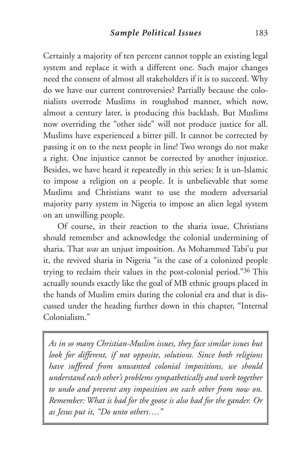Certainly a majority of ten percent cannot topple an existing legal system and replace it with a different one. Such major changes need the consent of almost all stakeholders if it is to succeed. Why do we have our current controversies? Partially because the colonialists overrode Muslims in roughshod manner, which now, almost a century later, is producing this backlash. But Muslims now overriding the "other side" will not produce justice for all. Muslims have experienced a bitter pill. It cannot be corrected by passing it on to the next people in line! Two wrongs do not make a right. One injustice cannot be corrected by another injustice. Besides, we have heard it repeatedly in this series: It is un-Islamic to impose a religion on a people. It is unbelievable that some Muslims and Christians want to use the modern adversarial majority party system in Nigeria to impose an alien legal system on an unwilling people.

Of course, in their reaction to the sharia issue, Christians should remember and acknowledge the colonial undermining of sharia. That *was* an unjust imposition. As Mohammed Tabi'u put it, the revived sharia in Nigeria "is the case of a colonized people trying to reclaim their values in the post-colonial period."36 This actually sounds exactly like the goal of MB ethnic groups placed in the hands of Muslim emirs during the colonial era and that is discussed under the heading further down in this chapter, "Internal Colonialism<sup>"</sup>

*As in so many Christian-Muslim issues, they face similar issues but look for different, if not opposite, solutions. Since both religions have suffered from unwanted colonial impositions, we should understand each other's problems sympathetically and work together to undo and prevent any imposition on each other from now on. Remember: What is bad for the goose is also bad for the gander. Or as Jesus put it, "Do unto others…."*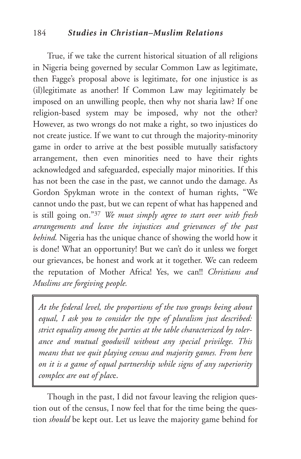## 184 *Studies in Christian–Muslim Relations*

True, if we take the current historical situation of all religions in Nigeria being governed by secular Common Law as legitimate, then Fagge's proposal above is legitimate, for one injustice is as (il)legitimate as another! If Common Law may legitimately be imposed on an unwilling people, then why not sharia law? If one religion-based system may be imposed, why not the other? However, as two wrongs do not make a right, so two injustices do not create justice. If we want to cut through the majority-minority game in order to arrive at the best possible mutually satisfactory arrangement, then even minorities need to have their rights acknowledged and safeguarded, especially major minorities. If this has not been the case in the past, we cannot undo the damage. As Gordon Spykman wrote in the context of human rights, "We cannot undo the past, but we can repent of what has happened and is still going on."37 *We must simply agree to start over with fresh arrangements and leave the injustices and grievances of the past behind.* Nigeria has the unique chance of showing the world how it is done! What an opportunity! But we can't do it unless we forget our grievances, be honest and work at it together. We can redeem the reputation of Mother Africa! Yes, we can!! *Christians and Muslims are forgiving people.*

*At the federal level, the proportions of the two groups being about equal, I ask you to consider the type of pluralism just described: strict equality among the parties at the table characterized by tolerance and mutual goodwill without any special privilege. This means that we quit playing census and majority games. From here on it is a game of equal partnership while signs of any superiority complex are out of plac*e.

Though in the past, I did not favour leaving the religion question out of the census, I now feel that for the time being the question *should* be kept out. Let us leave the majority game behind for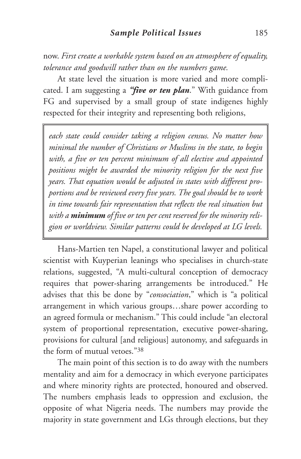now. *First create a workable system based on an atmosphere of equality, tolerance and goodwill rather than on the numbers game.*

At state level the situation is more varied and more complicated. I am suggesting a *"five or ten plan*." With guidance from FG and supervised by a small group of state indigenes highly respected for their integrity and representing both religions,

*each state could consider taking a religion census. No matter how minimal the number of Christians or Muslims in the state, to begin with, a five or ten percent minimum of all elective and appointed positions might be awarded the minority religion for the next five years. That equation would be adjusted in states with different proportions and be reviewed every five years. The goal should be to work in time towards fair representation that reflects the real situation but with a minimum of five or ten per cent reserved for the minority religion or worldview. Similar patterns could be developed at LG levels.*

Hans-Martien ten Napel, a constitutional lawyer and political scientist with Kuyperian leanings who specialises in church-state relations, suggested, "A multi-cultural conception of democracy requires that power-sharing arrangements be introduced." He advises that this be done by "*consociation*," which is "a political arrangement in which various groups…share power according to an agreed formula or mechanism." This could include "an electoral system of proportional representation, executive power-sharing, provisions for cultural [and religious] autonomy, and safeguards in the form of mutual vetoes."38

The main point of this section is to do away with the numbers mentality and aim for a democracy in which everyone participates and where minority rights are protected, honoured and observed. The numbers emphasis leads to oppression and exclusion, the opposite of what Nigeria needs. The numbers may provide the majority in state government and LGs through elections, but they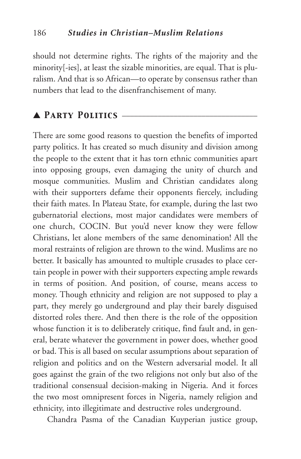should not determine rights. The rights of the majority and the minority[-ies], at least the sizable minorities, are equal. That is pluralism. And that is so African—to operate by consensus rather than numbers that lead to the disenfranchisement of many.

## ▲ *Party Politics* \_\_\_\_\_\_\_\_\_\_\_\_\_\_\_\_\_\_\_\_\_\_\_\_\_\_\_\_\_\_\_\_\_\_

There are some good reasons to question the benefits of imported party politics. It has created so much disunity and division among the people to the extent that it has torn ethnic communities apart into opposing groups, even damaging the unity of church and mosque communities. Muslim and Christian candidates along with their supporters defame their opponents fiercely, including their faith mates. In Plateau State, for example, during the last two gubernatorial elections, most major candidates were members of one church, COCIN. But you'd never know they were fellow Christians, let alone members of the same denomination! All the moral restraints of religion are thrown to the wind. Muslims are no better. It basically has amounted to multiple crusades to place certain people in power with their supporters expecting ample rewards in terms of position. And position, of course, means access to money. Though ethnicity and religion are not supposed to play a part, they merely go underground and play their barely disguised distorted roles there. And then there is the role of the opposition whose function it is to deliberately critique, find fault and, in general, berate whatever the government in power does, whether good or bad. This is all based on secular assumptions about separation of religion and politics and on the Western adversarial model. It all goes against the grain of the two religions not only but also of the traditional consensual decision-making in Nigeria. And it forces the two most omnipresent forces in Nigeria, namely religion and ethnicity, into illegitimate and destructive roles underground.

Chandra Pasma of the Canadian Kuyperian justice group,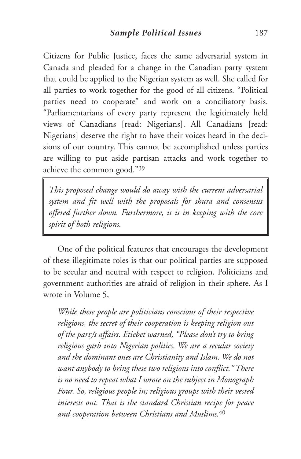Citizens for Public Justice, faces the same adversarial system in Canada and pleaded for a change in the Canadian party system that could be applied to the Nigerian system as well. She called for all parties to work together for the good of all citizens. "Political parties need to cooperate" and work on a conciliatory basis. "Parliamentarians of every party represent the legitimately held views of Canadians [read: Nigerians]. All Canadians [read: Nigerians] deserve the right to have their voices heard in the decisions of our country. This cannot be accomplished unless parties are willing to put aside partisan attacks and work together to achieve the common good."39

*This proposed change would do away with the current adversarial system and fit well with the proposals for shura and consensus offered further down. Furthermore, it is in keeping with the core spirit of both religions.*

One of the political features that encourages the development of these illegitimate roles is that our political parties are supposed to be secular and neutral with respect to religion. Politicians and government authorities are afraid of religion in their sphere. As I wrote in Volume 5,

*While these people are politicians conscious of their respective religions, the secret of their cooperation is keeping religion out of the party's affairs. Etiebet warned, "Please don't try to bring religious garb into Nigerian politics. We are a secular society and the dominant ones are Christianity and Islam. We do not want anybody to bring these two religions into conflict." There is no need to repeat what I wrote on the subject in Monograph Four. So, religious people in; religious groups with their vested interests out. That is the standard Christian recipe for peace and cooperation between Christians and Muslims.*<sup>40</sup>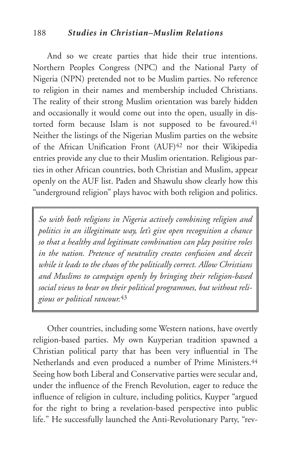#### 188 *Studies in Christian–Muslim Relations*

And so we create parties that hide their true intentions. Northern Peoples Congress (NPC) and the National Party of Nigeria (NPN) pretended not to be Muslim parties. No reference to religion in their names and membership included Christians. The reality of their strong Muslim orientation was barely hidden and occasionally it would come out into the open, usually in distorted form because Islam is not supposed to be favoured.<sup>41</sup> Neither the listings of the Nigerian Muslim parties on the website of the African Unification Front (AUF)<sup>42</sup> nor their Wikipedia entries provide any clue to their Muslim orientation. Religious parties in other African countries, both Christian and Muslim, appear openly on the AUF list. Paden and Shawulu show clearly how this "underground religion" plays havoc with both religion and politics.

*So with both religions in Nigeria actively combining religion and politics in an illegitimate way, let's give open recognition a chance so that a healthy and legitimate combination can play positive roles in the nation. Pretence of neutrality creates confusion and deceit while it leads to the chaos of the politically correct. Allow Christians and Muslims to campaign openly by bringing their religion-based social views to bear on their political programmes, but without religious or political rancour.*<sup>43</sup>

Other countries, including some Western nations, have overtly religion-based parties. My own Kuyperian tradition spawned a Christian political party that has been very influential in The Netherlands and even produced a number of Prime Ministers.<sup>44</sup> Seeing how both Liberal and Conservative parties were secular and, under the influence of the French Revolution, eager to reduce the influence of religion in culture, including politics, Kuyper "argued for the right to bring a revelation-based perspective into public life." He successfully launched the Anti-Revolutionary Party, "rev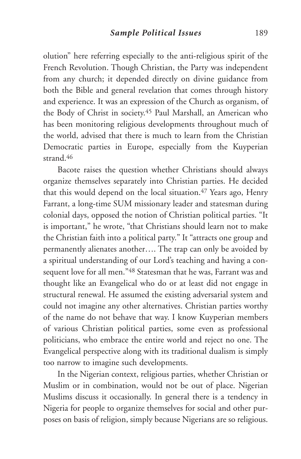olution" here referring especially to the anti-religious spirit of the French Revolution. Though Christian, the Party was independent from any church; it depended directly on divine guidance from both the Bible and general revelation that comes through history and experience. It was an expression of the Church as organism, of the Body of Christ in society.45 Paul Marshall, an American who has been monitoring religious developments throughout much of the world, advised that there is much to learn from the Christian Democratic parties in Europe, especially from the Kuyperian strand.46

Bacote raises the question whether Christians should always organize themselves separately into Christian parties. He decided that this would depend on the local situation.<sup>47</sup> Years ago, Henry Farrant, a long-time SUM missionary leader and statesman during colonial days, opposed the notion of Christian political parties. "It is important," he wrote, "that Christians should learn not to make the Christian faith into a political party." It "attracts one group and permanently alienates another…. The trap can only be avoided by a spiritual understanding of our Lord's teaching and having a consequent love for all men."48 Statesman that he was, Farrant was and thought like an Evangelical who do or at least did not engage in structural renewal. He assumed the existing adversarial system and could not imagine any other alternatives. Christian parties worthy of the name do not behave that way. I know Kuyperian members of various Christian political parties, some even as professional politicians, who embrace the entire world and reject no one. The Evangelical perspective along with its traditional dualism is simply too narrow to imagine such developments.

In the Nigerian context, religious parties, whether Christian or Muslim or in combination, would not be out of place. Nigerian Muslims discuss it occasionally. In general there is a tendency in Nigeria for people to organize themselves for social and other purposes on basis of religion, simply because Nigerians are so religious.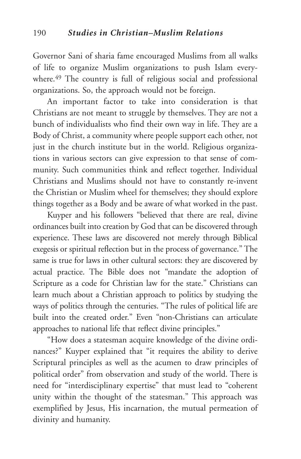Governor Sani of sharia fame encouraged Muslims from all walks of life to organize Muslim organizations to push Islam everywhere.<sup>49</sup> The country is full of religious social and professional organizations. So, the approach would not be foreign.

An important factor to take into consideration is that Christians are not meant to struggle by themselves. They are not a bunch of individualists who find their own way in life. They are a Body of Christ, a community where people support each other, not just in the church institute but in the world. Religious organizations in various sectors can give expression to that sense of community. Such communities think and reflect together. Individual Christians and Muslims should not have to constantly re-invent the Christian or Muslim wheel for themselves; they should explore things together as a Body and be aware of what worked in the past.

Kuyper and his followers "believed that there are real, divine ordinances built into creation by God that can be discovered through experience. These laws are discovered not merely through Biblical exegesis or spiritual reflection but in the process of governance." The same is true for laws in other cultural sectors: they are discovered by actual practice. The Bible does not "mandate the adoption of Scripture as a code for Christian law for the state." Christians can learn much about a Christian approach to politics by studying the ways of politics through the centuries. "The rules of political life are built into the created order." Even "non-Christians can articulate approaches to national life that reflect divine principles."

"How does a statesman acquire knowledge of the divine ordinances?" Kuyper explained that "it requires the ability to derive Scriptural principles as well as the acumen to draw principles of political order" from observation and study of the world. There is need for "interdisciplinary expertise" that must lead to "coherent unity within the thought of the statesman." This approach was exemplified by Jesus, His incarnation, the mutual permeation of divinity and humanity.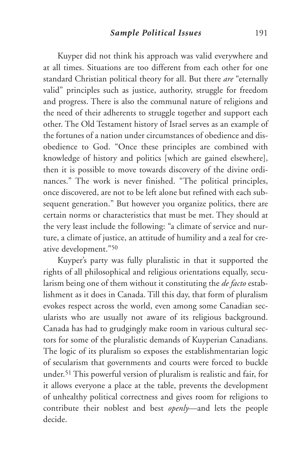Kuyper did not think his approach was valid everywhere and at all times. Situations are too different from each other for one standard Christian political theory for all. But there *are* "eternally valid" principles such as justice, authority, struggle for freedom and progress. There is also the communal nature of religions and the need of their adherents to struggle together and support each other. The Old Testament history of Israel serves as an example of the fortunes of a nation under circumstances of obedience and disobedience to God. "Once these principles are combined with knowledge of history and politics [which are gained elsewhere], then it is possible to move towards discovery of the divine ordinances." The work is never finished. "The political principles, once discovered, are not to be left alone but refined with each subsequent generation." But however you organize politics, there are certain norms or characteristics that must be met. They should at the very least include the following: "a climate of service and nurture, a climate of justice, an attitude of humility and a zeal for creative development."50

Kuyper's party was fully pluralistic in that it supported the rights of all philosophical and religious orientations equally, secularism being one of them without it constituting the *de facto* establishment as it does in Canada. Till this day, that form of pluralism evokes respect across the world, even among some Canadian secularists who are usually not aware of its religious background. Canada has had to grudgingly make room in various cultural sectors for some of the pluralistic demands of Kuyperian Canadians. The logic of its pluralism so exposes the establishmentarian logic of secularism that governments and courts were forced to buckle under.51 This powerful version of pluralism is realistic and fair, for it allows everyone a place at the table, prevents the development of unhealthy political correctness and gives room for religions to contribute their noblest and best *openly*—and lets the people decide.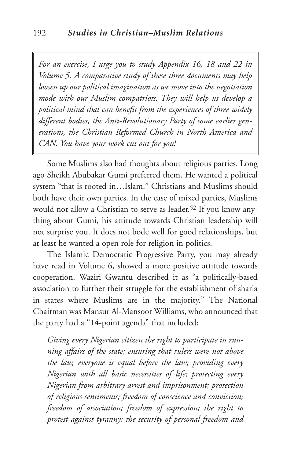*For an exercise, I urge you to study Appendix 16, 18 and 22 in Volume 5. A comparative study of these three documents may help loosen up our political imagination as we move into the negotiation mode with our Muslim compatriots. They will help us develop a political mind that can benefit from the experiences of three widely different bodies, the Anti-Revolutionary Party of some earlier generations, the Christian Reformed Church in North America and CAN. You have your work cut out for you!*

Some Muslims also had thoughts about religious parties. Long ago Sheikh Abubakar Gumi preferred them. He wanted a political system "that is rooted in…Islam." Christians and Muslims should both have their own parties. In the case of mixed parties, Muslims would not allow a Christian to serve as leader.<sup>52</sup> If you know anything about Gumi, his attitude towards Christian leadership will not surprise you. It does not bode well for good relationships, but at least he wanted a open role for religion in politics.

The Islamic Democratic Progressive Party, you may already have read in Volume 6, showed a more positive attitude towards cooperation. Waziri Gwantu described it as "a politically-based association to further their struggle for the establishment of sharia in states where Muslims are in the majority." The National Chairman was Mansur Al-Mansoor Williams, who announced that the party had a "14-point agenda" that included:

*Giving every Nigerian citizen the right to participate in running affairs of the state; ensuring that rulers were not above the law, everyone is equal before the law; providing every Nigerian with all basic necessities of life; protecting every Nigerian from arbitrary arrest and imprisonment; protection of religious sentiments; freedom of conscience and conviction; freedom of association; freedom of expression; the right to protest against tyranny; the security of personal freedom and*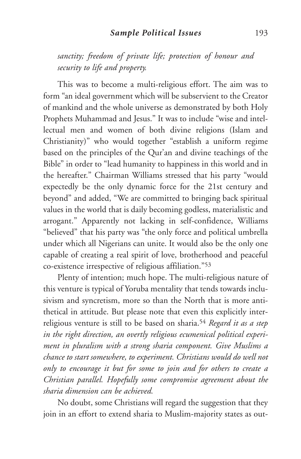*sanctity; freedom of private life; protection of honour and security to life and property.*

This was to become a multi-religious effort. The aim was to form "an ideal government which will be subservient to the Creator of mankind and the whole universe as demonstrated by both Holy Prophets Muhammad and Jesus." It was to include "wise and intellectual men and women of both divine religions (Islam and Christianity)" who would together "establish a uniform regime based on the principles of the Qur'an and divine teachings of the Bible" in order to "lead humanity to happiness in this world and in the hereafter." Chairman Williams stressed that his party "would expectedly be the only dynamic force for the 21st century and beyond" and added, "We are committed to bringing back spiritual values in the world that is daily becoming godless, materialistic and arrogant." Apparently not lacking in self-confidence, Williams "believed" that his party was "the only force and political umbrella under which all Nigerians can unite. It would also be the only one capable of creating a real spirit of love, brotherhood and peaceful co-existence irrespective of religious affiliation."53

Plenty of intention; much hope. The multi-religious nature of this venture is typical of Yoruba mentality that tends towards inclusivism and syncretism, more so than the North that is more antithetical in attitude. But please note that even this explicitly interreligious venture is still to be based on sharia.54 *Regard it as a step in the right direction, an overtly religious ecumenical political experiment in pluralism with a strong sharia component. Give Muslims a chance to start somewhere, to experiment. Christians would do well not only to encourage it but for some to join and for others to create a Christian parallel. Hopefully some compromise agreement about the sharia dimension can be achieved.*

No doubt, some Christians will regard the suggestion that they join in an effort to extend sharia to Muslim-majority states as out-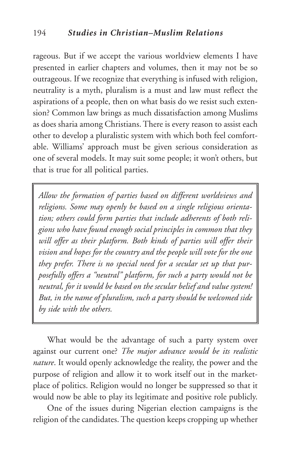rageous. But if we accept the various worldview elements I have presented in earlier chapters and volumes, then it may not be so outrageous. If we recognize that everything is infused with religion, neutrality is a myth, pluralism is a must and law must reflect the aspirations of a people, then on what basis do we resist such extension? Common law brings as much dissatisfaction among Muslims as does sharia among Christians. There is every reason to assist each other to develop a pluralistic system with which both feel comfortable. Williams' approach must be given serious consideration as one of several models. It may suit some people; it won't others, but that is true for all political parties.

*Allow the formation of parties based on different worldviews and religions. Some may openly be based on a single religious orientation; others could form parties that include adherents of both religions who have found enough social principles in common that they will offer as their platform. Both kinds of parties will offer their vision and hopes for the country and the people will vote for the one they prefer. There is no special need for a secular set up that purposefully offers a "neutral" platform, for such a party would not be neutral, for it would be based on the secular belief and value system! But, in the name of pluralism, such a party should be welcomed side by side with the others.*

What would be the advantage of such a party system over against our current one? *The major advance would be its realistic nature*. It would openly acknowledge the reality, the power and the purpose of religion and allow it to work itself out in the marketplace of politics. Religion would no longer be suppressed so that it would now be able to play its legitimate and positive role publicly.

One of the issues during Nigerian election campaigns is the religion of the candidates. The question keeps cropping up whether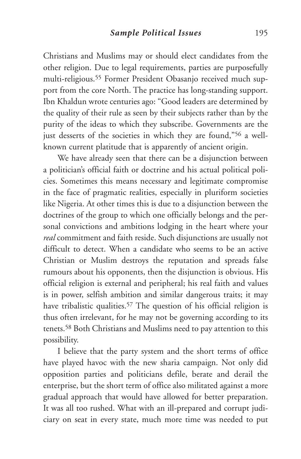Christians and Muslims may or should elect candidates from the other religion. Due to legal requirements, parties are purposefully multi-religious.55 Former President Obasanjo received much support from the core North. The practice has long-standing support. Ibn Khaldun wrote centuries ago: "Good leaders are determined by the quality of their rule as seen by their subjects rather than by the purity of the ideas to which they subscribe. Governments are the just desserts of the societies in which they are found,"<sup>56</sup> a wellknown current platitude that is apparently of ancient origin.

We have already seen that there can be a disjunction between a politician's official faith or doctrine and his actual political policies. Sometimes this means necessary and legitimate compromise in the face of pragmatic realities, especially in pluriform societies like Nigeria. At other times this is due to a disjunction between the doctrines of the group to which one officially belongs and the personal convictions and ambitions lodging in the heart where your *real* commitment and faith reside. Such disjunctions are usually not difficult to detect. When a candidate who seems to be an active Christian or Muslim destroys the reputation and spreads false rumours about his opponents, then the disjunction is obvious. His official religion is external and peripheral; his real faith and values is in power, selfish ambition and similar dangerous traits; it may have tribalistic qualities.<sup>57</sup> The question of his official religion is thus often irrelevant, for he may not be governing according to its tenets.58 Both Christians and Muslims need to pay attention to this possibility.

I believe that the party system and the short terms of office have played havoc with the new sharia campaign. Not only did opposition parties and politicians defile, berate and derail the enterprise, but the short term of office also militated against a more gradual approach that would have allowed for better preparation. It was all too rushed. What with an ill-prepared and corrupt judiciary on seat in every state, much more time was needed to put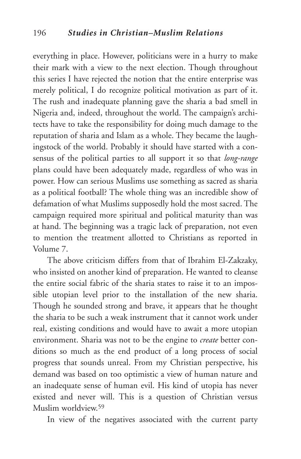everything in place. However, politicians were in a hurry to make their mark with a view to the next election. Though throughout this series I have rejected the notion that the entire enterprise was merely political, I do recognize political motivation as part of it. The rush and inadequate planning gave the sharia a bad smell in Nigeria and, indeed, throughout the world. The campaign's architects have to take the responsibility for doing much damage to the reputation of sharia and Islam as a whole. They became the laughingstock of the world. Probably it should have started with a consensus of the political parties to all support it so that *long-range* plans could have been adequately made, regardless of who was in power. How can serious Muslims use something as sacred as sharia as a political football? The whole thing was an incredible show of defamation of what Muslims supposedly hold the most sacred. The campaign required more spiritual and political maturity than was at hand. The beginning was a tragic lack of preparation, not even to mention the treatment allotted to Christians as reported in Volume 7.

The above criticism differs from that of Ibrahim El-Zakzaky, who insisted on another kind of preparation. He wanted to cleanse the entire social fabric of the sharia states to raise it to an impossible utopian level prior to the installation of the new sharia. Though he sounded strong and brave, it appears that he thought the sharia to be such a weak instrument that it cannot work under real, existing conditions and would have to await a more utopian environment. Sharia was not to be the engine to *create* better conditions so much as the end product of a long process of social progress that sounds unreal. From my Christian perspective, his demand was based on too optimistic a view of human nature and an inadequate sense of human evil. His kind of utopia has never existed and never will. This is a question of Christian versus Muslim worldview<sup>59</sup>

In view of the negatives associated with the current party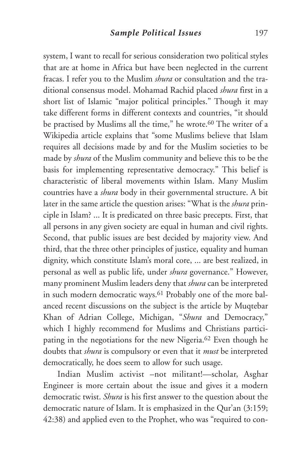system, I want to recall for serious consideration two political styles that are at home in Africa but have been neglected in the current fracas. I refer you to the Muslim *shura* or consultation and the traditional consensus model. Mohamad Rachid placed *shura* first in a short list of Islamic "major political principles." Though it may take different forms in different contexts and countries, "it should be practised by Muslims all the time," he wrote.<sup>60</sup> The writer of a Wikipedia article explains that "some Muslims believe that Islam requires all decisions made by and for the Muslim societies to be made by *shura* of the Muslim community and believe this to be the basis for implementing representative democracy." This belief is characteristic of liberal movements within Islam. Many Muslim countries have a *shura* body in their governmental structure. A bit later in the same article the question arises: "What is the *shura* principle in Islam? ... It is predicated on three basic precepts. First, that all persons in any given society are equal in human and civil rights. Second, that public issues are best decided by majority view. And third, that the three other principles of justice, equality and human dignity, which constitute Islam's moral core, ... are best realized, in personal as well as public life, under *shura* governance." However, many prominent Muslim leaders deny that *shura* can be interpreted in such modern democratic ways.<sup>61</sup> Probably one of the more balanced recent discussions on the subject is the article by Muqtebar Khan of Adrian College, Michigan, "*Shura* and Democracy," which I highly recommend for Muslims and Christians participating in the negotiations for the new Nigeria.62 Even though he doubts that *shura* is compulsory or even that it *must* be interpreted democratically, he does seem to allow for such usage.

Indian Muslim activist –not militant!—scholar, Asghar Engineer is more certain about the issue and gives it a modern democratic twist. *Shura* is his first answer to the question about the democratic nature of Islam. It is emphasized in the Qur'an (3:159; 42:38) and applied even to the Prophet, who was "required to con-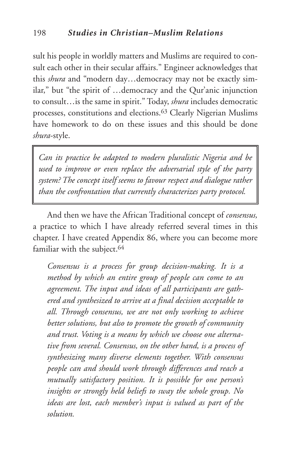sult his people in worldly matters and Muslims are required to consult each other in their secular affairs." Engineer acknowledges that this *shura* and "modern day…democracy may not be exactly similar," but "the spirit of …democracy and the Qur'anic injunction to consult…is the same in spirit." Today, *shura* includes democratic processes, constitutions and elections.63 Clearly Nigerian Muslims have homework to do on these issues and this should be done *shura*-style.

*Can its practice be adapted to modern pluralistic Nigeria and be used to improve or even replace the adversarial style of the party system? The concept itself seems to favour respect and dialogue rather than the confrontation that currently characterizes party protocol.*

And then we have the African Traditional concept of *consensus,* a practice to which I have already referred several times in this chapter. I have created Appendix 86, where you can become more familiar with the subject.<sup>64</sup>

*Consensus is a process for group decision-making. It is a method by which an entire group of people can come to an agreement. The input and ideas of all participants are gathered and synthesized to arrive at a final decision acceptable to all. Through consensus, we are not only working to achieve better solutions, but also to promote the growth of community and trust. Voting is a means by which we choose one alternative from several. Consensus, on the other hand, is a process of synthesizing many diverse elements together. With consensus people can and should work through differences and reach a mutually satisfactory position. It is possible for one person's insights or strongly held beliefs to sway the whole group. No ideas are lost, each member's input is valued as part of the solution.*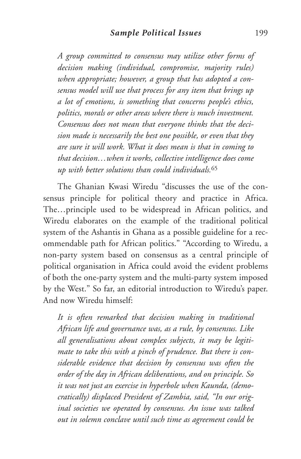*A group committed to consensus may utilize other forms of decision making (individual, compromise, majority rules) when appropriate; however, a group that has adopted a consensus model will use that process for any item that brings up a lot of emotions, is something that concerns people's ethics, politics, morals or other areas where there is much investment. Consensus does not mean that everyone thinks that the decision made is necessarily the best one possible, or even that they are sure it will work. What it does mean is that in coming to that decision…when it works, collective intelligence does come up with better solutions than could individuals.*<sup>65</sup>

The Ghanian Kwasi Wiredu "discusses the use of the consensus principle for political theory and practice in Africa. The…principle used to be widespread in African politics, and Wiredu elaborates on the example of the traditional political system of the Ashantis in Ghana as a possible guideline for a recommendable path for African politics." "According to Wiredu, a non-party system based on consensus as a central principle of political organisation in Africa could avoid the evident problems of both the one-party system and the multi-party system imposed by the West." So far, an editorial introduction to Wiredu's paper. And now Wiredu himself:

*It is often remarked that decision making in traditional African life and governance was, as a rule, by consensus. Like all generalisations about complex subjects, it may be legitimate to take this with a pinch of prudence. But there is considerable evidence that decision by consensus was often the order of the day in African deliberations, and on principle. So it was not just an exercise in hyperbole when Kaunda, (democratically) displaced President of Zambia, said, "In our original societies we operated by consensus. An issue was talked out in solemn conclave until such time as agreement could be*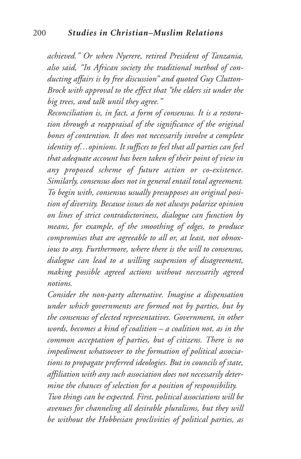*achieved." Or when Nyerere, retired President of Tanzania, also said, "In African society the traditional method of conducting affairs is by free discussion" and quoted Guy Clutton-Brock with approval to the effect that "the elders sit under the big trees, and talk until they agree."*

*Reconciliation is, in fact, a form of consensus. It is a restoration through a reappraisal of the significance of the original bones of contention. It does not necessarily involve a complete identity of…opinions. It suffices to feel that all parties can feel that adequate account has been taken of their point of view in any proposed scheme of future action or co-existence. Similarly, consensus does not in general entail total agreement. To begin with, consensus usually presupposes an original position of diversity. Because issues do not always polarize opinion on lines of strict contradictoriness, dialogue can function by means, for example, of the smoothing of edges, to produce compromises that are agreeable to all or, at least, not obnoxious to any. Furthermore, where there is the will to consensus, dialogue can lead to a willing suspension of disagreement, making possible agreed actions without necessarily agreed notions.*

*Consider the non-party alternative. Imagine a dispensation under which governments are formed not by parties, but by the consensus of elected representatives. Government, in other words, becomes a kind of coalition – a coalition not, as in the common acceptation of parties, but of citizens. There is no impediment whatsoever to the formation of political associations to propagate preferred ideologies. But in councils of state, affiliation with any such association does not necessarily determine the chances of selection for a position of responsibility. Two things can be expected. First, political associations will be avenues for channeling all desirable pluralisms, but they will be without the Hobbesian proclivities of political parties, as*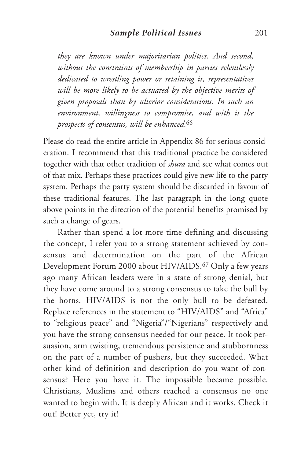*they are known under majoritarian politics. And second, without the constraints of membership in parties relentlessly dedicated to wrestling power or retaining it, representatives will be more likely to be actuated by the objective merits of given proposals than by ulterior considerations. In such an environment, willingness to compromise, and with it the prospects of consensus, will be enhanced.*<sup>66</sup>

Please do read the entire article in Appendix 86 for serious consideration. I recommend that this traditional practice be considered together with that other tradition of *shura* and see what comes out of that mix. Perhaps these practices could give new life to the party system. Perhaps the party system should be discarded in favour of these traditional features. The last paragraph in the long quote above points in the direction of the potential benefits promised by such a change of gears.

Rather than spend a lot more time defining and discussing the concept, I refer you to a strong statement achieved by consensus and determination on the part of the African Development Forum 2000 about HIV/AIDS.67 Only a few years ago many African leaders were in a state of strong denial, but they have come around to a strong consensus to take the bull by the horns. HIV/AIDS is not the only bull to be defeated. Replace references in the statement to "HIV/AIDS" and "Africa" to "religious peace" and "Nigeria"/"Nigerians" respectively and you have the strong consensus needed for our peace. It took persuasion, arm twisting, tremendous persistence and stubbornness on the part of a number of pushers, but they succeeded. What other kind of definition and description do you want of consensus? Here you have it. The impossible became possible. Christians, Muslims and others reached a consensus no one wanted to begin with. It is deeply African and it works. Check it out! Better yet, try it!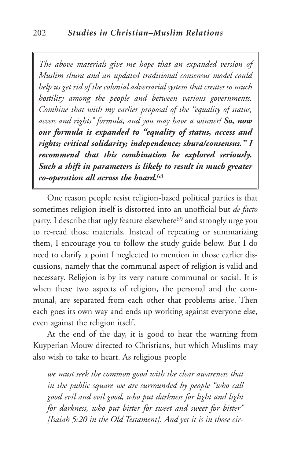*The above materials give me hope that an expanded version of Muslim shura and an updated traditional consensus model could help us get rid of the colonial adversarial system that creates so much hostility among the people and between various governments. Combine that with my earlier proposal of the "equality of status, access and rights" formula, and you may have a winner! So, now our formula is expanded to "equality of status, access and rights; critical solidarity; independence; shura/consensus." I recommend that this combination be explored seriously. Such a shift in parameters is likely to result in much greater co-operation all across the board.*68

One reason people resist religion-based political parties is that sometimes religion itself is distorted into an unofficial but *de facto* party. I describe that ugly feature elsewhere<sup>69</sup> and strongly urge you to re-read those materials. Instead of repeating or summarizing them, I encourage you to follow the study guide below. But I do need to clarify a point I neglected to mention in those earlier discussions, namely that the communal aspect of religion is valid and necessary. Religion is by its very nature communal or social. It is when these two aspects of religion, the personal and the communal, are separated from each other that problems arise. Then each goes its own way and ends up working against everyone else, even against the religion itself.

At the end of the day, it is good to hear the warning from Kuyperian Mouw directed to Christians, but which Muslims may also wish to take to heart. As religious people

*we must seek the common good with the clear awareness that in the public square we are surrounded by people "who call good evil and evil good, who put darkness for light and light for darkness, who put bitter for sweet and sweet for bitter" [Isaiah 5:20 in the Old Testament]. And yet it is in those cir-*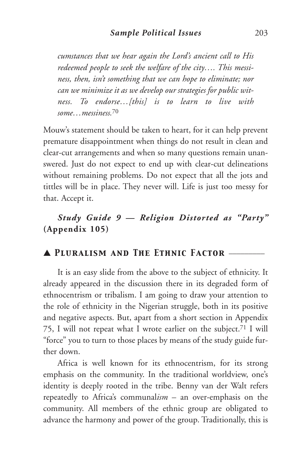*cumstances that we hear again the Lord's ancient call to His redeemed people to seek the welfare of the city…. This messiness, then, isn't something that we can hope to eliminate; nor can we minimize it as we develop our strategies for public witness. To endorse…[this] is to learn to live with some…messiness.*<sup>70</sup>

Mouw's statement should be taken to heart, for it can help prevent premature disappointment when things do not result in clean and clear-cut arrangements and when so many questions remain unanswered. Just do not expect to end up with clear-cut delineations without remaining problems. Do not expect that all the jots and tittles will be in place. They never will. Life is just too messy for that. Accept it.

# *Study Guide 9 — Religion Distorted as "Party"* **(Appendix 105)**

## ▲ *Pluralism and The Ethnic Factor* \_\_\_\_\_\_\_\_\_

It is an easy slide from the above to the subject of ethnicity. It already appeared in the discussion there in its degraded form of ethnocentrism or tribalism. I am going to draw your attention to the role of ethnicity in the Nigerian struggle, both in its positive and negative aspects. But, apart from a short section in Appendix 75, I will not repeat what I wrote earlier on the subject.71 I will "force" you to turn to those places by means of the study guide further down.

Africa is well known for its ethnocentrism, for its strong emphasis on the community. In the traditional worldview, one's identity is deeply rooted in the tribe. Benny van der Walt refers repeatedly to Africa's communal*ism* – an over-emphasis on the community. All members of the ethnic group are obligated to advance the harmony and power of the group. Traditionally, this is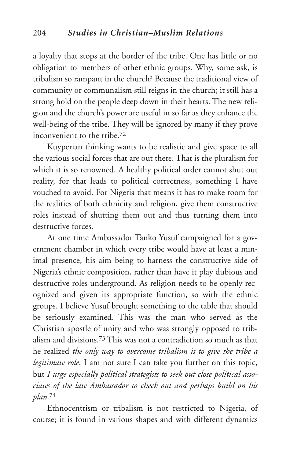a loyalty that stops at the border of the tribe. One has little or no obligation to members of other ethnic groups. Why, some ask, is tribalism so rampant in the church? Because the traditional view of community or communalism still reigns in the church; it still has a strong hold on the people deep down in their hearts. The new religion and the church's power are useful in so far as they enhance the well-being of the tribe. They will be ignored by many if they prove inconvenient to the tribe.72

Kuyperian thinking wants to be realistic and give space to all the various social forces that are out there. That is the pluralism for which it is so renowned. A healthy political order cannot shut out reality, for that leads to political correctness, something I have vouched to avoid. For Nigeria that means it has to make room for the realities of both ethnicity and religion, give them constructive roles instead of shutting them out and thus turning them into destructive forces.

At one time Ambassador Tanko Yusuf campaigned for a government chamber in which every tribe would have at least a minimal presence, his aim being to harness the constructive side of Nigeria's ethnic composition, rather than have it play dubious and destructive roles underground. As religion needs to be openly recognized and given its appropriate function, so with the ethnic groups. I believe Yusuf brought something to the table that should be seriously examined. This was the man who served as the Christian apostle of unity and who was strongly opposed to tribalism and divisions.73 This was not a contradiction so much as that he realized *the only way to overcome tribalism is to give the tribe a legitimate role.* I am not sure I can take you further on this topic, but *I urge especially political strategists to seek out close political associates of the late Ambassador to check out and perhaps build on his plan.*<sup>74</sup>

Ethnocentrism or tribalism is not restricted to Nigeria, of course; it is found in various shapes and with different dynamics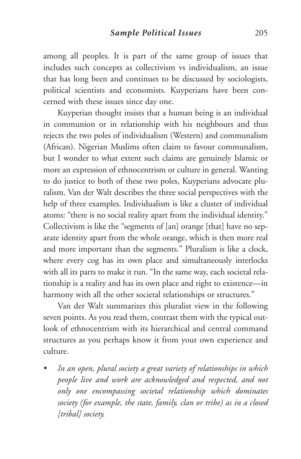among all peoples. It is part of the same group of issues that includes such concepts as collectivism vs individualism, an issue that has long been and continues to be discussed by sociologists, political scientists and economists. Kuyperians have been concerned with these issues since day one.

Kuyperian thought insists that a human being is an individual in communion or in relationship with his neighbours and thus rejects the two poles of individualism (Western) and communalism (African). Nigerian Muslims often claim to favour communalism, but I wonder to what extent such claims are genuinely Islamic or more an expression of ethnocentrism or culture in general. Wanting to do justice to both of these two poles, Kuyperians advocate pluralism. Van der Walt describes the three social perspectives with the help of three examples. Individualism is like a cluster of individual atoms: "there is no social reality apart from the individual identity." Collectivism is like the "segments of [an] orange [that] have no separate identity apart from the whole orange, which is then more real and more important than the segments." Pluralism is like a clock, where every cog has its own place and simultaneously interlocks with all its parts to make it run. "In the same way, each societal relationship is a reality and has its own place and right to existence—in harmony with all the other societal relationships or structures."

Van der Walt summarizes this pluralist view in the following seven points. As you read them, contrast them with the typical outlook of ethnocentrism with its hierarchical and central command structures as you perhaps know it from your own experience and culture.

*• In an open, plural society a great variety of relationships in which people live and work are acknowledged and respected, and not only one encompassing societal relationship which dominates society (for example, the state, family, clan or tribe) as in a closed [tribal] society.*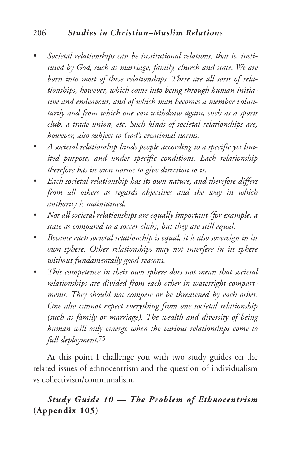## 206 *Studies in Christian–Muslim Relations*

- *• Societal relationships can be institutional relations, that is, instituted by God, such as marriage, family, church and state. We are born into most of these relationships. There are all sorts of relationships, however, which come into being through human initiative and endeavour, and of which man becomes a member voluntarily and from which one can withdraw again, such as a sports club, a trade union, etc. Such kinds of societal relationships are, however, also subject to God's creational norms.*
- *• A societal relationship binds people according to a specific yet limited purpose, and under specific conditions. Each relationship therefore has its own norms to give direction to it.*
- *• Each societal relationship has its own nature, and therefore differs from all others as regards objectives and the way in which authority is maintained.*
- *• Not all societal relationships are equally important (for example, a state as compared to a soccer club), but they are still equal.*
- *• Because each societal relationship is equal, it is also sovereign in its own sphere. Other relationships may not interfere in its sphere without fundamentally good reasons.*
- *• This competence in their own sphere does not mean that societal relationships are divided from each other in watertight compartments. They should not compete or be threatened by each other. One also cannot expect everything from one societal relationship (such as family or marriage). The wealth and diversity of being human will only emerge when the various relationships come to full deployment.*<sup>75</sup>

At this point I challenge you with two study guides on the related issues of ethnocentrism and the question of individualism vs collectivism/communalism.

## *Study Guide 10 — The Problem of Ethnocentrism* **(Appendix 105)**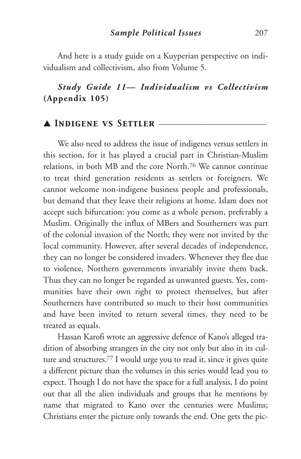And here is a study guide on a Kuyperian perspective on individualism and collectivism, also from Volume 5.

## *Study Guide 11— Individualism vs Collectivism* **(Appendix 105)**

## ▲ *Indigene vs Settler* \_\_\_\_\_\_\_\_\_\_\_\_\_\_\_\_\_\_\_\_\_\_\_\_\_\_\_

We also need to address the issue of indigenes versus settlers in this section, for it has played a crucial part in Christian-Muslim relations, in both MB and the core North.76 We cannot continue to treat third generation residents as settlers or foreigners. We cannot welcome non-indigene business people and professionals, but demand that they leave their religions at home. Islam does not accept such bifurcation: you come as a whole person, preferably a Muslim. Originally the influx of MBers and Southerners was part of the colonial invasion of the North; they were not invited by the local community. However, after several decades of independence, they can no longer be considered invaders. Whenever they flee due to violence, Northern governments invariably invite them back. Thus they can no longer be regarded as unwanted guests. Yes, communities have their own right to protect themselves, but after Southerners have contributed so much to their host communities and have been invited to return several times, they need to be treated as equals.

Hassan Karofi wrote an aggressive defence of Kano's alleged tradition of absorbing strangers in the city not only but also in its culture and structures. <sup>77</sup> I would urge you to read it, since it gives quite a different picture than the volumes in this series would lead you to expect. Though I do not have the space for a full analysis, I do point out that all the alien individuals and groups that he mentions by name that migrated to Kano over the centuries were Muslims; Christians enter the picture only towards the end. One gets the pic-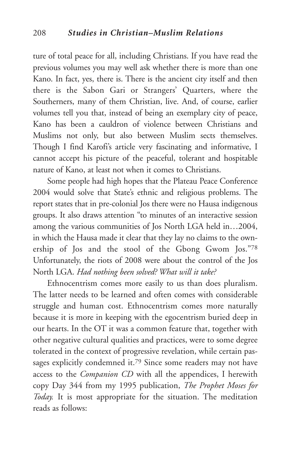ture of total peace for all, including Christians. If you have read the previous volumes you may well ask whether there is more than one Kano. In fact, yes, there is. There is the ancient city itself and then there is the Sabon Gari or Strangers' Quarters, where the Southerners, many of them Christian, live. And, of course, earlier volumes tell you that, instead of being an exemplary city of peace, Kano has been a cauldron of violence between Christians and Muslims not only, but also between Muslim sects themselves. Though I find Karofi's article very fascinating and informative, I cannot accept his picture of the peaceful, tolerant and hospitable nature of Kano, at least not when it comes to Christians.

Some people had high hopes that the Plateau Peace Conference 2004 would solve that State's ethnic and religious problems. The report states that in pre-colonial Jos there were no Hausa indigenous groups. It also draws attention "to minutes of an interactive session among the various communities of Jos North LGA held in…2004, in which the Hausa made it clear that they lay no claims to the ownership of Jos and the stool of the Gbong Gwom Jos."78 Unfortunately, the riots of 2008 were about the control of the Jos North LGA. *Had nothing been solved? What will it take?*

Ethnocentrism comes more easily to us than does pluralism. The latter needs to be learned and often comes with considerable struggle and human cost. Ethnocentrism comes more naturally because it is more in keeping with the egocentrism buried deep in our hearts. In the OT it was a common feature that, together with other negative cultural qualities and practices, were to some degree tolerated in the context of progressive revelation, while certain passages explicitly condemned it.<sup>79</sup> Since some readers may not have access to the *Companion CD* with all the appendices, I herewith copy Day 344 from my 1995 publication, *The Prophet Moses for Today.* It is most appropriate for the situation. The meditation reads as follows: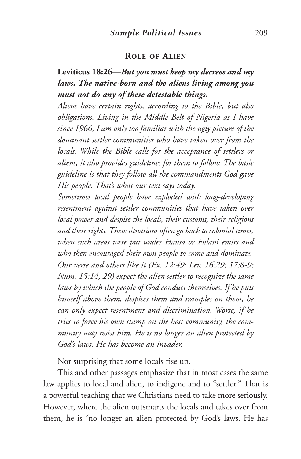#### **ROLE OF ALIEN**

## **Leviticus 18:26**—*But you must keep my decrees and my laws. The native-born and the aliens living among you must not do any of these detestable things.*

*Aliens have certain rights, according to the Bible, but also obligations. Living in the Middle Belt of Nigeria as I have since 1966, I am only too familiar with the ugly picture of the dominant settler communities who have taken over from the locals. While the Bible calls for the acceptance of settlers or aliens, it also provides guidelines for them to follow. The basic guideline is that they follow all the commandments God gave His people. That's what our text says today.*

*Sometimes local people have exploded with long-developing resentment against settler communities that have taken over local power and despise the locals, their customs, their religions and their rights.These situations often go back to colonial times, when such areas were put under Hausa or Fulani emirs and who then encouraged their own people to come and dominate. Our verse and others like it (Ex. 12:49; Lev. 16:29; 17:8-9; Num. 15:14, 29) expect the alien settler to recognize the same laws by which the people of God conduct themselves. If he puts himself above them, despises them and tramples on them, he can only expect resentment and discrimination. Worse, if he tries to force his own stamp on the host community, the community may resist him. He is no longer an alien protected by God's laws. He has become an invader.*

Not surprising that some locals rise up.

This and other passages emphasize that in most cases the same law applies to local and alien, to indigene and to "settler." That is a powerful teaching that we Christians need to take more seriously. However, where the alien outsmarts the locals and takes over from them, he is "no longer an alien protected by God's laws. He has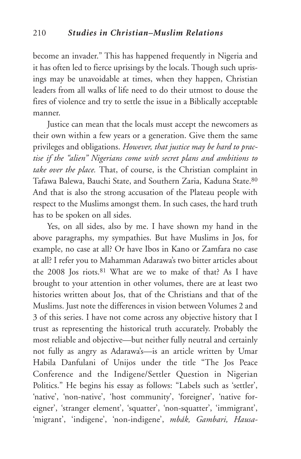become an invader." This has happened frequently in Nigeria and it has often led to fierce uprisings by the locals. Though such uprisings may be unavoidable at times, when they happen, Christian leaders from all walks of life need to do their utmost to douse the fires of violence and try to settle the issue in a Biblically acceptable manner.

Justice can mean that the locals must accept the newcomers as their own within a few years or a generation. Give them the same privileges and obligations. *However, that justice may be hard to practise if the "alien" Nigerians come with secret plans and ambitions to take over the place.* That, of course, is the Christian complaint in Tafawa Balewa, Bauchi State, and Southern Zaria, Kaduna State.80 And that is also the strong accusation of the Plateau people with respect to the Muslims amongst them. In such cases, the hard truth has to be spoken on all sides.

Yes, on all sides, also by me. I have shown my hand in the above paragraphs, my sympathies. But have Muslims in Jos, for example, no case at all? Or have Ibos in Kano or Zamfara no case at all? I refer you to Mahamman Adarawa's two bitter articles about the 2008 Jos riots.81 What are we to make of that? As I have brought to your attention in other volumes, there are at least two histories written about Jos, that of the Christians and that of the Muslims. Just note the differences in vision between Volumes 2 and 3 of this series. I have not come across any objective history that I trust as representing the historical truth accurately. Probably the most reliable and objective—but neither fully neutral and certainly not fully as angry as Adarawa's—is an article written by Umar Habila Danfulani of Unijos under the title "The Jos Peace Conference and the Indigene/Settler Question in Nigerian Politics." He begins his essay as follows: "Labels such as 'settler', 'native', 'non-native', 'host community', 'foreigner', 'native foreigner', 'stranger element', 'squatter', 'non-squatter', 'immigrant', 'migrant', 'indigene', 'non-indigene', *mbák, Gambari, Hausa-*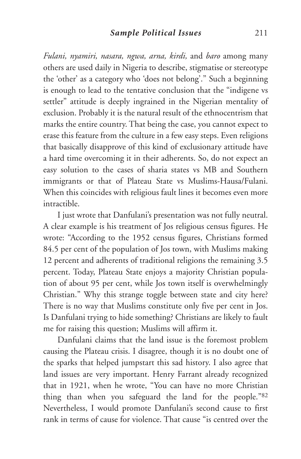*Fulani, nyamiri, nasara, ngwa, arna, kirdi,* and *baro* among many others are used daily in Nigeria to describe, stigmatise or stereotype the 'other' as a category who 'does not belong'." Such a beginning is enough to lead to the tentative conclusion that the "indigene vs settler" attitude is deeply ingrained in the Nigerian mentality of exclusion. Probably it is the natural result of the ethnocentrism that marks the entire country. That being the case, you cannot expect to erase this feature from the culture in a few easy steps. Even religions that basically disapprove of this kind of exclusionary attitude have a hard time overcoming it in their adherents. So, do not expect an easy solution to the cases of sharia states vs MB and Southern immigrants or that of Plateau State vs Muslims-Hausa/Fulani. When this coincides with religious fault lines it becomes even more intractible.

I just wrote that Danfulani's presentation was not fully neutral. A clear example is his treatment of Jos religious census figures. He wrote: "According to the 1952 census figures, Christians formed 84.5 per cent of the population of Jos town, with Muslims making 12 percent and adherents of traditional religions the remaining 3.5 percent. Today, Plateau State enjoys a majority Christian population of about 95 per cent, while Jos town itself is overwhelmingly Christian." Why this strange toggle between state and city here? There is no way that Muslims constitute only five per cent in Jos. Is Danfulani trying to hide something? Christians are likely to fault me for raising this question; Muslims will affirm it.

Danfulani claims that the land issue is the foremost problem causing the Plateau crisis. I disagree, though it is no doubt one of the sparks that helped jumpstart this sad history. I also agree that land issues are very important. Henry Farrant already recognized that in 1921, when he wrote, "You can have no more Christian thing than when you safeguard the land for the people."82 Nevertheless, I would promote Danfulani's second cause to first rank in terms of cause for violence. That cause "is centred over the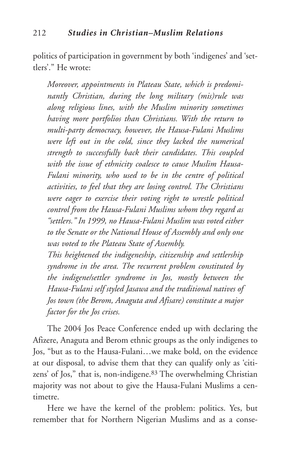politics of participation in government by both 'indigenes' and 'settlers'." He wrote:

*Moreover, appointments in Plateau State, which is predominantly Christian, during the long military (mis)rule was along religious lines, with the Muslim minority sometimes having more portfolios than Christians. With the return to multi-party democracy, however, the Hausa-Fulani Muslims were left out in the cold, since they lacked the numerical strength to successfully back their candidates. This coupled with the issue of ethnicity coalesce to cause Muslim Hausa-Fulani minority, who used to be in the centre of political activities, to feel that they are losing control. The Christians were eager to exercise their voting right to wrestle political control from the Hausa-Fulani Muslims whom they regard as "settlers." In 1999, no Hausa-Fulani Muslim was voted either to the Senate or the National House of Assembly and only one was voted to the Plateau State of Assembly.*

*This heightened the indigeneship, citizenship and settlership syndrome in the area. The recurrent problem constituted by the indigene/settler syndrome in Jos, mostly between the Hausa-Fulani self styled Jasawa and the traditional natives of Jos town (the Berom, Anaguta and Afisare) constitute a major factor for the Jos crises.*

The 2004 Jos Peace Conference ended up with declaring the Afizere, Anaguta and Berom ethnic groups as the only indigenes to Jos, "but as to the Hausa-Fulani…we make bold, on the evidence at our disposal, to advise them that they can qualify only as 'citizens' of Jos," that is, non-indigene.83 The overwhelming Christian majority was not about to give the Hausa-Fulani Muslims a centimetre.

Here we have the kernel of the problem: politics. Yes, but remember that for Northern Nigerian Muslims and as a conse-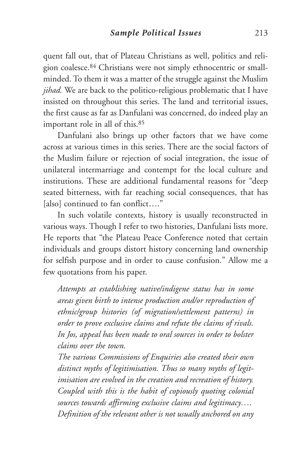quent fall out, that of Plateau Christians as well, politics and religion coalesce.84 Christians were not simply ethnocentric or smallminded. To them it was a matter of the struggle against the Muslim *jihad.* We are back to the politico-religious problematic that I have insisted on throughout this series. The land and territorial issues, the first cause as far as Danfulani was concerned, do indeed play an important role in all of this.85

Danfulani also brings up other factors that we have come across at various times in this series. There are the social factors of the Muslim failure or rejection of social integration, the issue of unilateral intermarriage and contempt for the local culture and institutions. These are additional fundamental reasons for "deep seated bitterness, with far reaching social consequences, that has [also] continued to fan conflict...."

In such volatile contexts, history is usually reconstructed in various ways. Though I refer to two histories, Danfulani lists more. He reports that "the Plateau Peace Conference noted that certain individuals and groups distort history concerning land ownership for selfish purpose and in order to cause confusion." Allow me a few quotations from his paper.

*Attempts at establishing native/indigene status has in some areas given birth to intense production and/or reproduction of ethnic/group histories (of migration/settlement patterns) in order to prove exclusive claims and refute the claims of rivals. In Jos, appeal has been made to oral sources in order to bolster claims over the town.*

*The various Commissions of Enquiries also created their own distinct myths of legitimisation. Thus so many myths of legitimisation are evolved in the creation and recreation of history. Coupled with this is the habit of copiously quoting colonial sources towards affirming exclusive claims and legitimacy…. Definition of the relevant other is not usually anchored on any*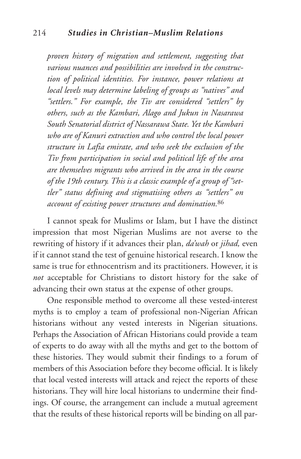#### 214 *Studies in Christian–Muslim Relations*

*proven history of migration and settlement, suggesting that various nuances and possibilities are involved in the construction of political identities. For instance, power relations at local levels may determine labeling of groups as "natives" and "settlers." For example, the Tiv are considered "settlers" by others, such as the Kambari, Alago and Jukun in Nasarawa South Senatorial district of Nassarawa State. Yet the Kambari who are of Kanuri extraction and who control the local power structure in Lafia emirate, and who seek the exclusion of the Tiv from participation in social and political life of the area are themselves migrants who arrived in the area in the course of the 19th century. This is a classic example of a group of "settler" status defining and stigmatising others as "settlers" on account of existing power structures and domination.*<sup>86</sup>

I cannot speak for Muslims or Islam, but I have the distinct impression that most Nigerian Muslims are not averse to the rewriting of history if it advances their plan, *da'wah* or *jihad,* even if it cannot stand the test of genuine historical research. I know the same is true for ethnocentrism and its practitioners. However, it is *not* acceptable for Christians to distort history for the sake of advancing their own status at the expense of other groups.

One responsible method to overcome all these vested-interest myths is to employ a team of professional non-Nigerian African historians without any vested interests in Nigerian situations. Perhaps the Association of African Historians could provide a team of experts to do away with all the myths and get to the bottom of these histories. They would submit their findings to a forum of members of this Association before they become official. It is likely that local vested interests will attack and reject the reports of these historians. They will hire local historians to undermine their findings. Of course, the arrangement can include a mutual agreement that the results of these historical reports will be binding on all par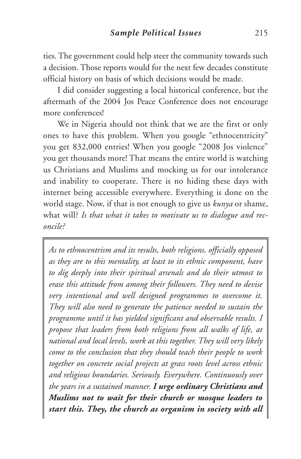ties. The government could help steer the community towards such a decision. Those reports would for the next few decades constitute official history on basis of which decisions would be made.

I did consider suggesting a local historical conference, but the aftermath of the 2004 Jos Peace Conference does not encourage more conferences!

We in Nigeria should not think that we are the first or only ones to have this problem. When you google "ethnocentricity" you get 832,000 entries! When you google "2008 Jos violence" you get thousands more! That means the entire world is watching us Christians and Muslims and mocking us for our intolerance and inability to cooperate. There is no hiding these days with internet being accessible everywhere. Everything is done on the world stage. Now, if that is not enough to give us *kunya* or shame, what will? *Is that what it takes to motivate us to dialogue and reconcile?*

*As to ethnocentrism and its results, both religions, officially opposed as they are to this mentality, at least to its ethnic component, have to dig deeply into their spiritual arsenals and do their utmost to erase this attitude from among their followers. They need to devise very intentional and well designed programmes to overcome it. They will also need to generate the patience needed to sustain the programme until it has yielded significant and observable results. I propose that leaders from both religions from all walks of life, at national and local levels, work at this together. They will very likely come to the conclusion that they should teach their people to work together on concrete social projects at grass roots level across ethnic and religious boundaries. Seriously. Everywhere. Continuously over the years in a sustained manner. I urge ordinary Christians and Muslims not to wait for their church or mosque leaders to start this. They, the church as organism in society with all*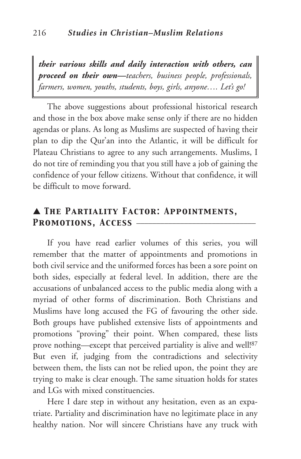*their various skills and daily interaction with others, can proceed on their own—teachers, business people, professionals, farmers, women, youths, students, boys, girls, anyone…. Let's go!*

The above suggestions about professional historical research and those in the box above make sense only if there are no hidden agendas or plans. As long as Muslims are suspected of having their plan to dip the Qur'an into the Atlantic, it will be difficult for Plateau Christians to agree to any such arrangements. Muslims, I do not tire of reminding you that you still have a job of gaining the confidence of your fellow citizens. Without that confidence, it will be difficult to move forward.

## ▲ *The Partiality Factor: Appointments,* PROMOTIONS, ACCESS -

If you have read earlier volumes of this series, you will remember that the matter of appointments and promotions in both civil service and the uniformed forces has been a sore point on both sides, especially at federal level. In addition, there are the accusations of unbalanced access to the public media along with a myriad of other forms of discrimination. Both Christians and Muslims have long accused the FG of favouring the other side. Both groups have published extensive lists of appointments and promotions "proving" their point. When compared, these lists prove nothing—except that perceived partiality is alive and well! 87 But even if, judging from the contradictions and selectivity between them, the lists can not be relied upon, the point they are trying to make is clear enough. The same situation holds for states and LGs with mixed constituencies.

Here I dare step in without any hesitation, even as an expatriate. Partiality and discrimination have no legitimate place in any healthy nation. Nor will sincere Christians have any truck with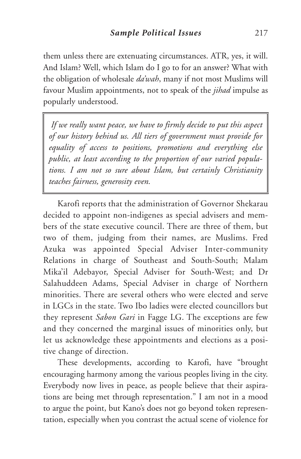them unless there are extenuating circumstances. ATR, yes, it will. And Islam? Well, which Islam do I go to for an answer? What with the obligation of wholesale *da'wah*, many if not most Muslims will favour Muslim appointments, not to speak of the *jihad* impulse as popularly understood.

*If we really want peace, we have to firmly decide to put this aspect of our history behind us. All tiers of government must provide for equality of access to positions, promotions and everything else public, at least according to the proportion of our varied populations. I am not so sure about Islam, but certainly Christianity teaches fairness, generosity even.*

Karofi reports that the administration of Governor Shekarau decided to appoint non-indigenes as special advisers and members of the state executive council. There are three of them, but two of them, judging from their names, are Muslims. Fred Azuka was appointed Special Adviser Inter-community Relations in charge of Southeast and South-South; Malam Mika'il Adebayor, Special Adviser for South-West; and Dr Salahuddeen Adams, Special Adviser in charge of Northern minorities. There are several others who were elected and serve in LGCs in the state. Two Ibo ladies were elected councillors but they represent *Sabon Gari* in Fagge LG. The exceptions are few and they concerned the marginal issues of minorities only, but let us acknowledge these appointments and elections as a positive change of direction.

These developments, according to Karofi, have "brought encouraging harmony among the various peoples living in the city. Everybody now lives in peace, as people believe that their aspirations are being met through representation." I am not in a mood to argue the point, but Kano's does not go beyond token representation, especially when you contrast the actual scene of violence for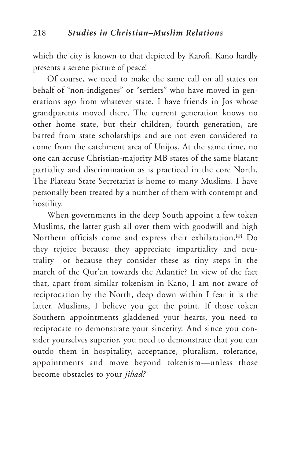which the city is known to that depicted by Karofi. Kano hardly presents a serene picture of peace!

Of course, we need to make the same call on all states on behalf of "non-indigenes" or "settlers" who have moved in generations ago from whatever state. I have friends in Jos whose grandparents moved there. The current generation knows no other home state, but their children, fourth generation, are barred from state scholarships and are not even considered to come from the catchment area of Unijos. At the same time, no one can accuse Christian-majority MB states of the same blatant partiality and discrimination as is practiced in the core North. The Plateau State Secretariat is home to many Muslims. I have personally been treated by a number of them with contempt and hostility.

When governments in the deep South appoint a few token Muslims, the latter gush all over them with goodwill and high Northern officials come and express their exhilaration.88 Do they rejoice because they appreciate impartiality and neutrality—or because they consider these as tiny steps in the march of the Qur'an towards the Atlantic? In view of the fact that, apart from similar tokenism in Kano, I am not aware of reciprocation by the North, deep down within I fear it is the latter. Muslims, I believe you get the point. If those token Southern appointments gladdened your hearts, you need to reciprocate to demonstrate your sincerity. And since you consider yourselves superior, you need to demonstrate that you can outdo them in hospitality, acceptance, pluralism, tolerance, appointments and move beyond tokenism—unless those become obstacles to your *jihad?*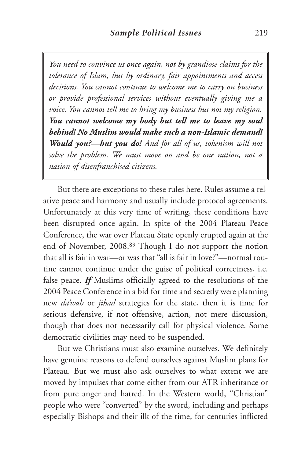*You need to convince us once again, not by grandiose claims for the tolerance of Islam, but by ordinary, fair appointments and access decisions. You cannot continue to welcome me to carry on business or provide professional services without eventually giving me a voice. You cannot tell me to bring my business but not my religion. You cannot welcome my body but tell me to leave my soul behind! No Muslim would make such a non-Islamic demand! Would you?—but you do! And for all of us, tokenism will not solve the problem. We must move on and be one nation, not a nation of disenfranchised citizens.*

But there are exceptions to these rules here. Rules assume a relative peace and harmony and usually include protocol agreements. Unfortunately at this very time of writing, these conditions have been disrupted once again. In spite of the 2004 Plateau Peace Conference, the war over Plateau State openly erupted again at the end of November, 2008.89 Though I do not support the notion that all is fair in war—or was that "all is fair in love?"—normal routine cannot continue under the guise of political correctness, i.e. false peace. *If* Muslims officially agreed to the resolutions of the 2004 Peace Conference in a bid for time and secretly were planning new *da'wah* or *jihad* strategies for the state, then it is time for serious defensive, if not offensive, action, not mere discussion, though that does not necessarily call for physical violence. Some democratic civilities may need to be suspended.

But we Christians must also examine ourselves. We definitely have genuine reasons to defend ourselves against Muslim plans for Plateau. But we must also ask ourselves to what extent we are moved by impulses that come either from our ATR inheritance or from pure anger and hatred. In the Western world, "Christian" people who were "converted" by the sword, including and perhaps especially Bishops and their ilk of the time, for centuries inflicted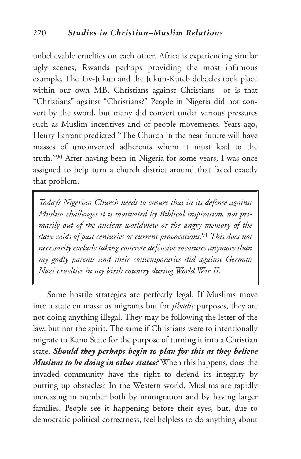unbelievable cruelties on each other. Africa is experiencing similar ugly scenes, Rwanda perhaps providing the most infamous example. The Tiv-Jukun and the Jukun-Kuteb debacles took place within our own MB, Christians against Christians—or is that "Christians" against "Christians?" People in Nigeria did not convert by the sword, but many did convert under various pressures such as Muslim incentives and of people movements. Years ago, Henry Farrant predicted "The Church in the near future will have masses of unconverted adherents whom it must lead to the truth."90 After having been in Nigeria for some years, I was once assigned to help turn a church district around that faced exactly that problem.

*Today's Nigerian Church needs to ensure that in its defense against Muslim challenges it is motivated by Biblical inspiration, not primarily out of the ancient worldview or the angry memory of the slave raids of past centuries or current provocations.*<sup>91</sup> *This does not necessarily exclude taking concrete defensive measures anymore than my godly parents and their contemporaries did against German Nazi cruelties in my birth country during World War II.*

Some hostile strategies are perfectly legal. If Muslims move into a state en masse as migrants but for *jihadic* purposes, they are not doing anything illegal. They may be following the letter of the law, but not the spirit. The same if Christians were to intentionally migrate to Kano State for the purpose of turning it into a Christian state. *Should they perhaps begin to plan for this as they believe Muslims to be doing in other states?* When this happens, does the invaded community have the right to defend its integrity by putting up obstacles? In the Western world, Muslims are rapidly increasing in number both by immigration and by having larger families. People see it happening before their eyes, but, due to democratic political correctness, feel helpless to do anything about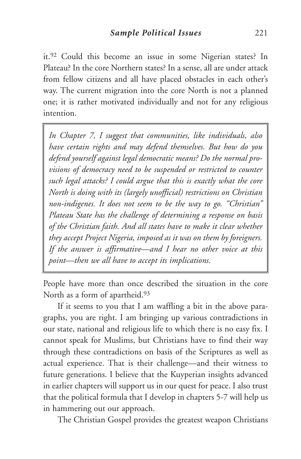it.92 Could this become an issue in some Nigerian states? In Plateau? In the core Northern states? In a sense, all are under attack from fellow citizens and all have placed obstacles in each other's way. The current migration into the core North is not a planned one; it is rather motivated individually and not for any religious intention.

*In Chapter 7, I suggest that communities, like individuals, also have certain rights and may defend themselves. But how do you defend yourself against legal democratic means? Do the normal provisions of democracy need to be suspended or restricted to counter such legal attacks? I could argue that this is exactly what the core North is doing with its (largely unofficial) restrictions on Christian non-indigenes. It does not seem to be the way to go. "Christian" Plateau State has the challenge of determining a response on basis of the Christian faith. And all states have to make it clear whether they accept Project Nigeria, imposed as it was on them by foreigners. If the answer is affirmative—and I hear no other voice at this point—then we all have to accept its implications.*

People have more than once described the situation in the core North as a form of apartheid.93

If it seems to you that I am waffling a bit in the above paragraphs, you are right. I am bringing up various contradictions in our state, national and religious life to which there is no easy fix. I cannot speak for Muslims, but Christians have to find their way through these contradictions on basis of the Scriptures as well as actual experience. That is their challenge—and their witness to future generations. I believe that the Kuyperian insights advanced in earlier chapters will support us in our quest for peace. I also trust that the political formula that I develop in chapters 5-7 will help us in hammering out our approach.

The Christian Gospel provides the greatest weapon Christians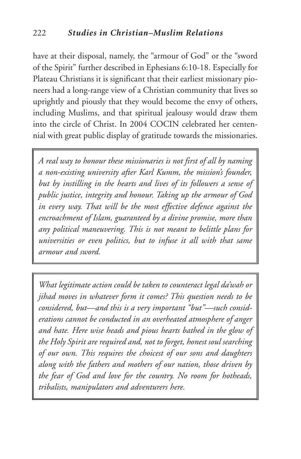have at their disposal, namely, the "armour of God" or the "sword of the Spirit" further described in Ephesians 6:10-18. Especially for Plateau Christians it is significant that their earliest missionary pioneers had a long-range view of a Christian community that lives so uprightly and piously that they would become the envy of others, including Muslims, and that spiritual jealousy would draw them into the circle of Christ. In 2004 COCIN celebrated her centennial with great public display of gratitude towards the missionaries.

*A real way to honour these missionaries is not first of all by naming a non-existing university after Karl Kumm, the mission's founder, but by instilling in the hearts and lives of its followers a sense of public justice, integrity and honour. Taking up the armour of God in every way. That will be the most effective defence against the encroachment of Islam, guaranteed by a divine promise, more than any political maneuvering. This is not meant to belittle plans for universities or even politics, but to infuse it all with that same armour and sword.*

*What legitimate action could be taken to counteract legal da'wah or jihad moves in whatever form it comes? This question needs to be considered, but—and this is a very important "but"—such considerations cannot be conducted in an overheated atmosphere of anger and hate. Here wise heads and pious hearts bathed in the glow of the Holy Spirit are required and, not to forget, honest soul searching of our own. This requires the choicest of our sons and daughters along with the fathers and mothers of our nation, those driven by the fear of God and love for the country. No room for hotheads, tribalists, manipulators and adventurers here.*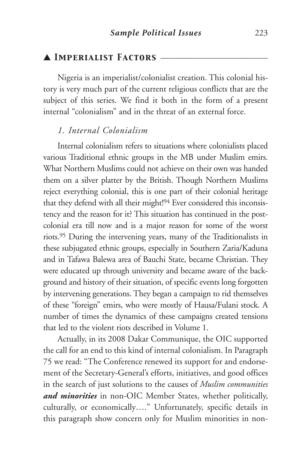## ▲ *Imperialist Factors* \_\_\_\_\_\_\_\_\_\_\_\_\_\_\_\_\_\_\_\_\_\_\_\_\_\_\_

Nigeria is an imperialist/colonialist creation. This colonial history is very much part of the current religious conflicts that are the subject of this series. We find it both in the form of a present internal "colonialism" and in the threat of an external force.

## *1. Internal Colonialism*

Internal colonialism refers to situations where colonialists placed various Traditional ethnic groups in the MB under Muslim emirs. What Northern Muslims could not achieve on their own was handed them on a silver platter by the British. Though Northern Muslims reject everything colonial, this is one part of their colonial heritage that they defend with all their might! <sup>94</sup> Ever considered this inconsistency and the reason for it? This situation has continued in the postcolonial era till now and is a major reason for some of the worst riots. <sup>95</sup> During the intervening years, many of the Traditionalists in these subjugated ethnic groups, especially in Southern Zaria/Kaduna and in Tafawa Balewa area of Bauchi State, became Christian. They were educated up through university and became aware of the background and history of their situation, of specific events long forgotten by intervening generations. They began a campaign to rid themselves of these "foreign" emirs, who were mostly of Hausa/Fulani stock. A number of times the dynamics of these campaigns created tensions that led to the violent riots described in Volume 1.

Actually, in its 2008 Dakar Communique, the OIC supported the call for an end to this kind of internal colonialism. In Paragraph 75 we read: "The Conference renewed its support for and endorsement of the Secretary-General's efforts, initiatives, and good offices in the search of just solutions to the causes of *Muslim communities and minorities* in non-OIC Member States, whether politically, culturally, or economically…." Unfortunately, specific details in this paragraph show concern only for Muslim minorities in non-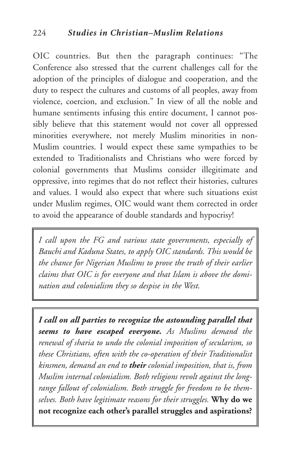OIC countries. But then the paragraph continues: "The Conference also stressed that the current challenges call for the adoption of the principles of dialogue and cooperation, and the duty to respect the cultures and customs of all peoples, away from violence, coercion, and exclusion." In view of all the noble and humane sentiments infusing this entire document, I cannot possibly believe that this statement would not cover all oppressed minorities everywhere, not merely Muslim minorities in non-Muslim countries. I would expect these same sympathies to be extended to Traditionalists and Christians who were forced by colonial governments that Muslims consider illegitimate and oppressive, into regimes that do not reflect their histories, cultures and values. I would also expect that where such situations exist under Muslim regimes, OIC would want them corrected in order to avoid the appearance of double standards and hypocrisy!

*I call upon the FG and various state governments, especially of Bauchi and Kaduna States, to apply OIC standards. This would be the chance for Nigerian Muslims to prove the truth of their earlier claims that OIC is for everyone and that Islam is above the domination and colonialism they so despise in the West.*

*I call on all parties to recognize the astounding parallel that seems to have escaped everyone. As Muslims demand the renewal of sharia to undo the colonial imposition of secularism, so these Christians, often with the co-operation of their Traditionalist kinsmen, demand an end to their colonial imposition, that is, from Muslim internal colonialism. Both religions revolt against the longrange fallout of colonialism. Both struggle for freedom to be themselves. Both have legitimate reasons for their struggles.* **Why do we not recognize each other's parallel struggles and aspirations?**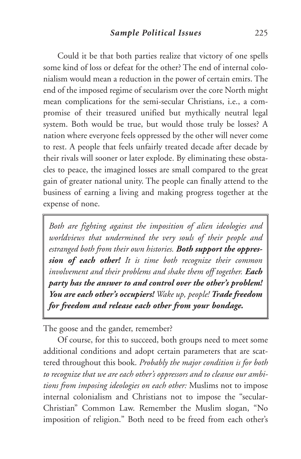Could it be that both parties realize that victory of one spells some kind of loss or defeat for the other? The end of internal colonialism would mean a reduction in the power of certain emirs. The end of the imposed regime of secularism over the core North might mean complications for the semi-secular Christians, i.e., a compromise of their treasured unified but mythically neutral legal system. Both would be true, but would those truly be losses? A nation where everyone feels oppressed by the other will never come to rest. A people that feels unfairly treated decade after decade by their rivals will sooner or later explode. By eliminating these obstacles to peace, the imagined losses are small compared to the great gain of greater national unity. The people can finally attend to the business of earning a living and making progress together at the expense of none.

*Both are fighting against the imposition of alien ideologies and worldviews that undermined the very souls of their people and estranged both from their own histories. Both support the oppression of each other! It is time both recognize their common involvement and their problems and shake them off together. Each party has the answer to and control over the other's problem! You are each other's occupiers! Wake up, people! Trade freedom for freedom and release each other from your bondage.*

The goose and the gander, remember?

Of course, for this to succeed, both groups need to meet some additional conditions and adopt certain parameters that are scattered throughout this book. *Probably the major condition is for both to recognize that we are each other's oppressors and to cleanse our ambitions from imposing ideologies on each other:* Muslims not to impose internal colonialism and Christians not to impose the "secular-Christian" Common Law. Remember the Muslim slogan, "No imposition of religion." Both need to be freed from each other's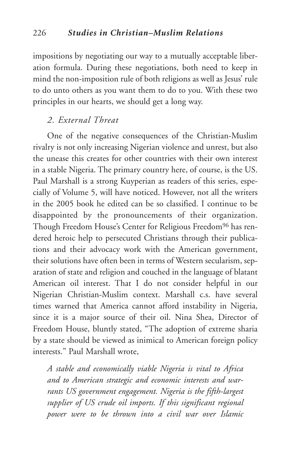impositions by negotiating our way to a mutually acceptable liberation formula. During these negotiations, both need to keep in mind the non-imposition rule of both religions as well as Jesus' rule to do unto others as you want them to do to you. With these two principles in our hearts, we should get a long way.

## *2. External Threat*

One of the negative consequences of the Christian-Muslim rivalry is not only increasing Nigerian violence and unrest, but also the unease this creates for other countries with their own interest in a stable Nigeria. The primary country here, of course, is the US. Paul Marshall is a strong Kuyperian as readers of this series, especially of Volume 5, will have noticed. However, not all the writers in the 2005 book he edited can be so classified. I continue to be disappointed by the pronouncements of their organization. Though Freedom House's Center for Religious Freedom<sup>96</sup> has rendered heroic help to persecuted Christians through their publications and their advocacy work with the American government, their solutions have often been in terms of Western secularism, separation of state and religion and couched in the language of blatant American oil interest. That I do not consider helpful in our Nigerian Christian-Muslim context. Marshall c.s. have several times warned that America cannot afford instability in Nigeria, since it is a major source of their oil. Nina Shea, Director of Freedom House, bluntly stated, "The adoption of extreme sharia by a state should be viewed as inimical to American foreign policy interests." Paul Marshall wrote,

*A stable and economically viable Nigeria is vital to Africa and to American strategic and economic interests and warrants US government engagement. Nigeria is the fifth-largest supplier of US crude oil imports. If this significant regional power were to be thrown into a civil war over Islamic*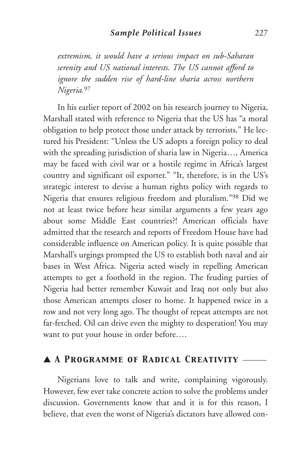*extremism, it would have a serious impact on sub-Saharan serenity and US national interests. The US cannot afford to ignore the sudden rise of hard-line sharia across northern Nigeria.*<sup>97</sup>

In his earlier report of 2002 on his research journey to Nigeria, Marshall stated with reference to Nigeria that the US has "a moral obligation to help protect those under attack by terrorists." He lectured his President: "Unless the US adopts a foreign policy to deal with the spreading jurisdiction of sharia law in Nigeria…, America may be faced with civil war or a hostile regime in Africa's largest country and significant oil exporter." "It, therefore, is in the US's strategic interest to devise a human rights policy with regards to Nigeria that ensures religious freedom and pluralism."98 Did we not at least twice before hear similar arguments a few years ago about some Middle East countries?! American officials have admitted that the research and reports of Freedom House have had considerable influence on American policy. It is quite possible that Marshall's urgings prompted the US to establish both naval and air bases in West Africa. Nigeria acted wisely in repelling American attempts to get a foothold in the region. The feuding parties of Nigeria had better remember Kuwait and Iraq not only but also those American attempts closer to home. It happened twice in a row and not very long ago. The thought of repeat attempts are not far-fetched. Oil can drive even the mighty to desperation! You may want to put your house in order before….

## ▲ *A Programme of Radical Creativity* \_\_\_\_\_\_

Nigerians love to talk and write, complaining vigorously. However, few ever take concrete action to solve the problems under discussion. Governments know that and it is for this reason, I believe, that even the worst of Nigeria's dictators have allowed con-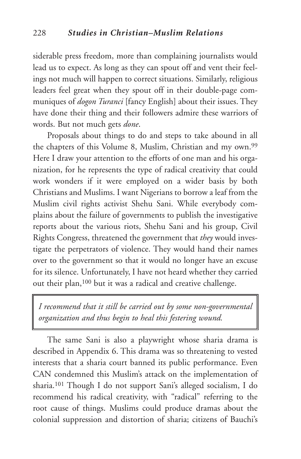siderable press freedom, more than complaining journalists would lead us to expect. As long as they can spout off and vent their feelings not much will happen to correct situations. Similarly, religious leaders feel great when they spout off in their double-page communiques of *dogon Turanci* [fancy English] about their issues. They have done their thing and their followers admire these warriors of words. But not much gets *done*.

Proposals about things to do and steps to take abound in all the chapters of this Volume 8, Muslim, Christian and my own.99 Here I draw your attention to the efforts of one man and his organization, for he represents the type of radical creativity that could work wonders if it were employed on a wider basis by both Christians and Muslims. I want Nigerians to borrow a leaf from the Muslim civil rights activist Shehu Sani. While everybody complains about the failure of governments to publish the investigative reports about the various riots, Shehu Sani and his group, Civil Rights Congress, threatened the government that *they* would investigate the perpetrators of violence. They would hand their names over to the government so that it would no longer have an excuse for its silence. Unfortunately, I have not heard whether they carried out their plan,100 but it was a radical and creative challenge.

*I recommend that it still be carried out by some non-governmental organization and thus begin to heal this festering wound.*

The same Sani is also a playwright whose sharia drama is described in Appendix 6. This drama was so threatening to vested interests that a sharia court banned its public performance. Even CAN condemned this Muslim's attack on the implementation of sharia.101 Though I do not support Sani's alleged socialism, I do recommend his radical creativity, with "radical" referring to the root cause of things. Muslims could produce dramas about the colonial suppression and distortion of sharia; citizens of Bauchi's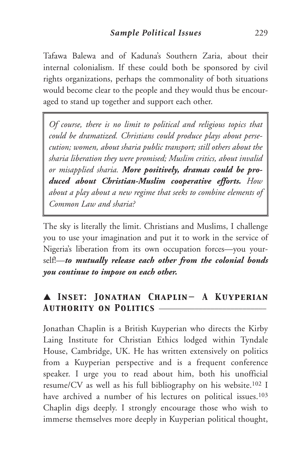Tafawa Balewa and of Kaduna's Southern Zaria, about their internal colonialism. If these could both be sponsored by civil rights organizations, perhaps the commonality of both situations would become clear to the people and they would thus be encouraged to stand up together and support each other.

*Of course, there is no limit to political and religious topics that could be dramatized. Christians could produce plays about persecution; women, about sharia public transport; still others about the sharia liberation they were promised; Muslim critics, about invalid or misapplied sharia. More positively, dramas could be produced about Christian-Muslim cooperative efforts. How about a play about a new regime that seeks to combine elements of Common Law and sharia?*

The sky is literally the limit. Christians and Muslims, I challenge you to use your imagination and put it to work in the service of Nigeria's liberation from its own occupation forces—you yourself!—*to mutually release each other from the colonial bonds you continue to impose on each other.*

## ▲ *Inset: Jonathan Chaplin— A Kuyperian Authority on Politics* \_\_\_\_\_\_\_\_\_\_\_\_\_\_\_\_\_\_\_\_\_\_\_\_\_\_\_

Jonathan Chaplin is a British Kuyperian who directs the Kirby Laing Institute for Christian Ethics lodged within Tyndale House, Cambridge, UK. He has written extensively on politics from a Kuyperian perspective and is a frequent conference speaker. I urge you to read about him, both his unofficial resume/CV as well as his full bibliography on his website.102 I have archived a number of his lectures on political issues.<sup>103</sup> Chaplin digs deeply. I strongly encourage those who wish to immerse themselves more deeply in Kuyperian political thought,